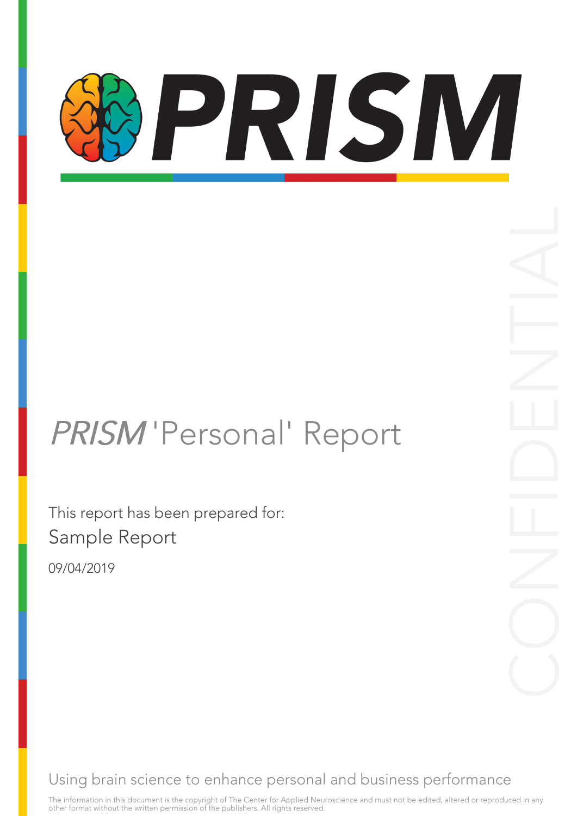# PRISM

### PRISM 'Personal' Report

This report has been prepared for: Sample Report

09/04/2019

Using brain science to enhance personal and business performance

The information in this document is the copyright of The Center for Applied Neuroscience and must not be edited, altered or reproduced in any other format without the written permission of the publishers. All rights reserved.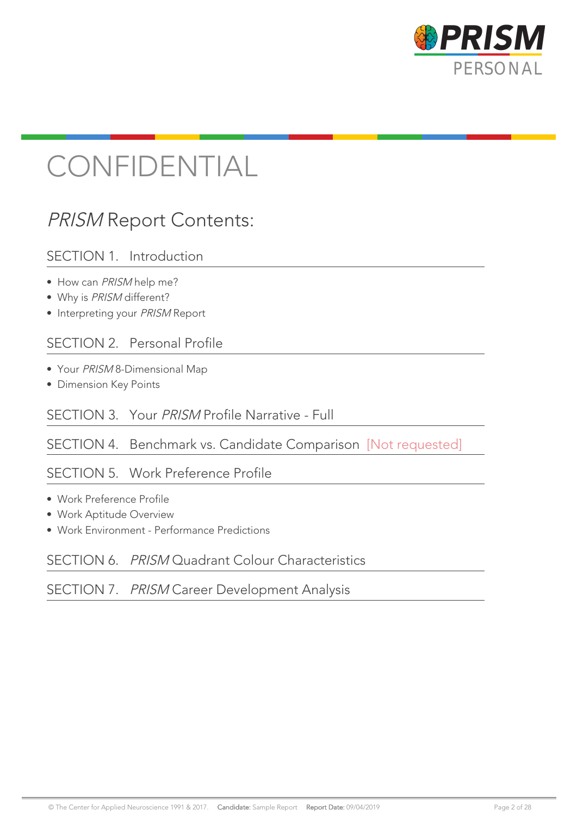

### CONFIDENTIAL

### PRISM Report Contents:

#### SECTION 1. Introduction

- How can PRISM help me?
- Why is PRISM different?
- Interpreting your PRISM Report

#### SECTION 2. Personal Profile

- Your PRISM 8-Dimensional Map
- Dimension Key Points

#### SECTION 3. Your PRISM Profile Narrative - Full

#### SECTION 4. Benchmark vs. Candidate Comparison [Not requested]

#### SECTION 5. Work Preference Profile

- Work Preference Profile
- Work Aptitude Overview
- Work Environment Performance Predictions

#### SECTION 6. PRISM Quadrant Colour Characteristics

#### SECTION 7. PRISM Career Development Analysis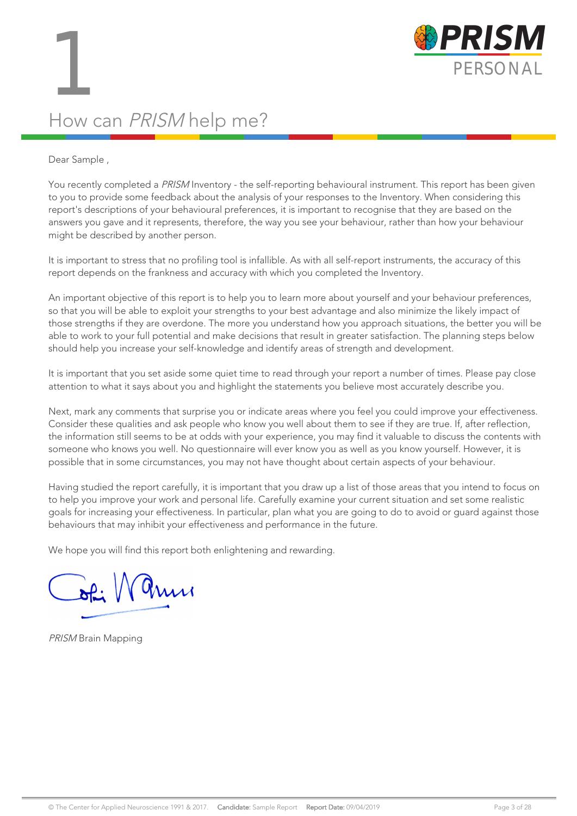

### How can PRISM help me?

#### Dear Sample ,

You recently completed a PRISM Inventory - the self-reporting behavioural instrument. This report has been given to you to provide some feedback about the analysis of your responses to the Inventory. When considering this report's descriptions of your behavioural preferences, it is important to recognise that they are based on the answers you gave and it represents, therefore, the way you see your behaviour, rather than how your behaviour might be described by another person.

It is important to stress that no profiling tool is infallible. As with all self-report instruments, the accuracy of this report depends on the frankness and accuracy with which you completed the Inventory.

An important objective of this report is to help you to learn more about yourself and your behaviour preferences, so that you will be able to exploit your strengths to your best advantage and also minimize the likely impact of those strengths if they are overdone. The more you understand how you approach situations, the better you will be able to work to your full potential and make decisions that result in greater satisfaction. The planning steps below should help you increase your self-knowledge and identify areas of strength and development.

It is important that you set aside some quiet time to read through your report a number of times. Please pay close attention to what it says about you and highlight the statements you believe most accurately describe you.

Next, mark any comments that surprise you or indicate areas where you feel you could improve your effectiveness. Consider these qualities and ask people who know you well about them to see if they are true. If, after reflection, the information still seems to be at odds with your experience, you may find it valuable to discuss the contents with someone who knows you well. No questionnaire will ever know you as well as you know yourself. However, it is possible that in some circumstances, you may not have thought about certain aspects of your behaviour.

Having studied the report carefully, it is important that you draw up a list of those areas that you intend to focus on to help you improve your work and personal life. Carefully examine your current situation and set some realistic goals for increasing your effectiveness. In particular, plan what you are going to do to avoid or guard against those behaviours that may inhibit your effectiveness and performance in the future.

We hope you will find this report both enlightening and rewarding.

 $\sqrt{a}$ 

PRISM Brain Mapping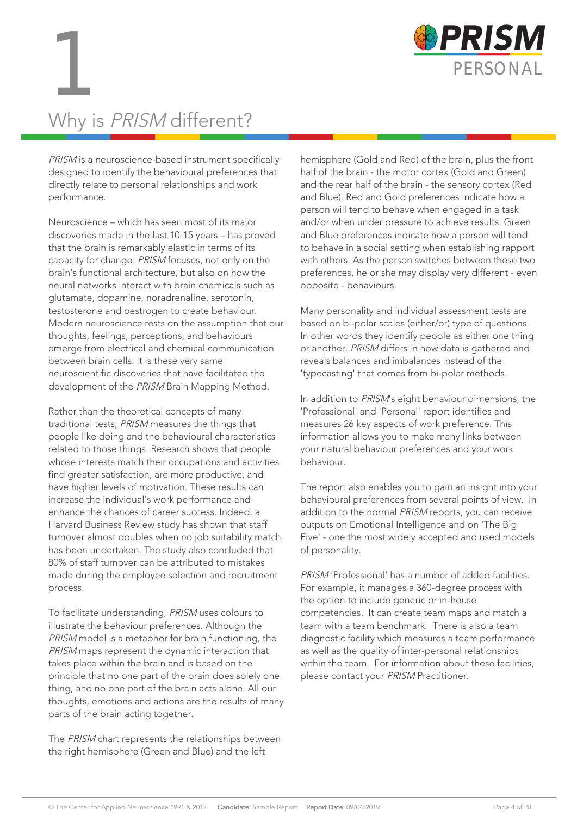

### Why is PRISM different?

PRISM is a neuroscience-based instrument specifically designed to identify the behavioural preferences that directly relate to personal relationships and work performance.

Neuroscience – which has seen most of its major discoveries made in the last 10-15 years – has proved that the brain is remarkably elastic in terms of its capacity for change. PRISM focuses, not only on the brain's functional architecture, but also on how the neural networks interact with brain chemicals such as glutamate, dopamine, noradrenaline, serotonin, testosterone and oestrogen to create behaviour. Modern neuroscience rests on the assumption that our thoughts, feelings, perceptions, and behaviours emerge from electrical and chemical communication between brain cells. It is these very same neuroscientific discoveries that have facilitated the development of the PRISM Brain Mapping Method.

Rather than the theoretical concepts of many traditional tests, PRISM measures the things that people like doing and the behavioural characteristics related to those things. Research shows that people whose interests match their occupations and activities find greater satisfaction, are more productive, and have higher levels of motivation. These results can increase the individual's work performance and enhance the chances of career success. Indeed, a Harvard Business Review study has shown that staff turnover almost doubles when no job suitability match has been undertaken. The study also concluded that 80% of staff turnover can be attributed to mistakes made during the employee selection and recruitment process.

To facilitate understanding, PRISM uses colours to illustrate the behaviour preferences. Although the PRISM model is a metaphor for brain functioning, the PRISM maps represent the dynamic interaction that takes place within the brain and is based on the principle that no one part of the brain does solely one thing, and no one part of the brain acts alone. All our thoughts, emotions and actions are the results of many parts of the brain acting together.

The PRISM chart represents the relationships between the right hemisphere (Green and Blue) and the left

hemisphere (Gold and Red) of the brain, plus the front half of the brain - the motor cortex (Gold and Green) and the rear half of the brain - the sensory cortex (Red and Blue). Red and Gold preferences indicate how a person will tend to behave when engaged in a task and/or when under pressure to achieve results. Green and Blue preferences indicate how a person will tend to behave in a social setting when establishing rapport with others. As the person switches between these two preferences, he or she may display very different - even opposite - behaviours.

Many personality and individual assessment tests are based on bi-polar scales (either/or) type of questions. In other words they identify people as either one thing or another. PRISM differs in how data is gathered and reveals balances and imbalances instead of the 'typecasting' that comes from bi-polar methods.

In addition to PRISM's eight behaviour dimensions, the 'Professional' and 'Personal' report identifies and measures 26 key aspects of work preference. This information allows you to make many links between your natural behaviour preferences and your work behaviour.

The report also enables you to gain an insight into your behavioural preferences from several points of view. In addition to the normal PRISM reports, you can receive outputs on Emotional Intelligence and on 'The Big Five' - one the most widely accepted and used models of personality.

PRISM 'Professional' has a number of added facilities. For example, it manages a 360-degree process with the option to include generic or in-house competencies. It can create team maps and match a team with a team benchmark. There is also a team diagnostic facility which measures a team performance as well as the quality of inter-personal relationships within the team. For information about these facilities, please contact your PRISM Practitioner.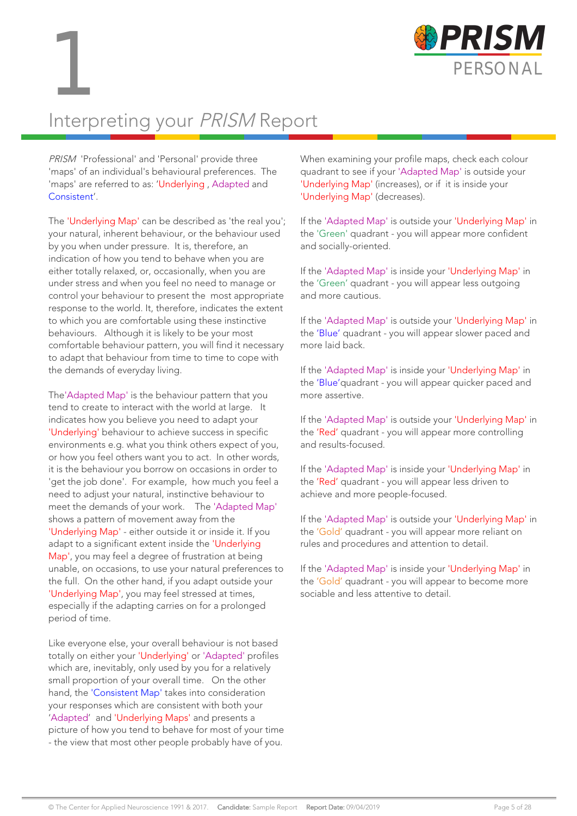



### Interpreting your PRISM Report

PRISM 'Professional' and 'Personal' provide three 'maps' of an individual's behavioural preferences. The 'maps' are referred to as: 'Underlying , Adapted and Consistent'.

The 'Underlying Map' can be described as 'the real you'; your natural, inherent behaviour, or the behaviour used by you when under pressure. It is, therefore, an indication of how you tend to behave when you are either totally relaxed, or, occasionally, when you are under stress and when you feel no need to manage or control your behaviour to present the most appropriate response to the world. It, therefore, indicates the extent to which you are comfortable using these instinctive behaviours. Although it is likely to be your most comfortable behaviour pattern, you will find it necessary to adapt that behaviour from time to time to cope with the demands of everyday living.

The'Adapted Map' is the behaviour pattern that you tend to create to interact with the world at large. It indicates how you believe you need to adapt your 'Underlying' behaviour to achieve success in specific environments e.g. what you think others expect of you, or how you feel others want you to act. In other words, it is the behaviour you borrow on occasions in order to 'get the job done'. For example, how much you feel a need to adjust your natural, instinctive behaviour to meet the demands of your work. The 'Adapted Map' shows a pattern of movement away from the 'Underlying Map' - either outside it or inside it. If you adapt to a significant extent inside the 'Underlying Map', you may feel a degree of frustration at being unable, on occasions, to use your natural preferences to the full. On the other hand, if you adapt outside your 'Underlying Map', you may feel stressed at times, especially if the adapting carries on for a prolonged period of time.

Like everyone else, your overall behaviour is not based totally on either your 'Underlying' or 'Adapted' profiles which are, inevitably, only used by you for a relatively small proportion of your overall time. On the other hand, the 'Consistent Map' takes into consideration your responses which are consistent with both your 'Adapted' and 'Underlying Maps' and presents a picture of how you tend to behave for most of your time - the view that most other people probably have of you.

When examining your profile maps, check each colour quadrant to see if your 'Adapted Map' is outside your 'Underlying Map' (increases), or if it is inside your 'Underlying Map' (decreases).

If the 'Adapted Map' is outside your 'Underlying Map' in the 'Green' quadrant - you will appear more confident and socially-oriented.

If the 'Adapted Map' is inside your 'Underlying Map' in the 'Green' quadrant - you will appear less outgoing and more cautious.

If the 'Adapted Map' is outside your 'Underlying Map' in the 'Blue' quadrant - you will appear slower paced and more laid back.

If the 'Adapted Map' is inside your 'Underlying Map' in the 'Blue'quadrant - you will appear quicker paced and more assertive.

If the 'Adapted Map' is outside your 'Underlying Map' in the 'Red' quadrant - you will appear more controlling and results-focused.

If the 'Adapted Map' is inside your 'Underlying Map' in the 'Red' quadrant - you will appear less driven to achieve and more people-focused.

If the 'Adapted Map' is outside your 'Underlying Map' in the 'Gold' quadrant - you will appear more reliant on rules and procedures and attention to detail.

If the 'Adapted Map' is inside your 'Underlying Map' in the 'Gold' quadrant - you will appear to become more sociable and less attentive to detail.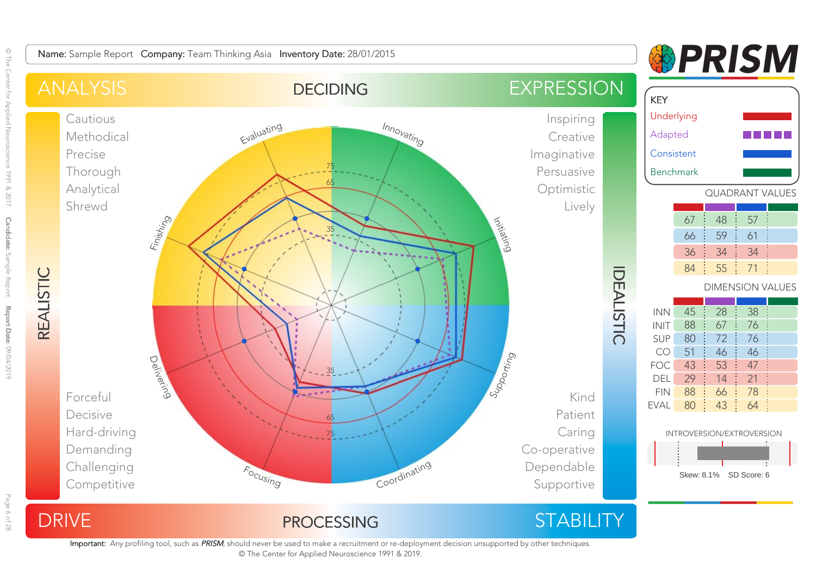

Important: Any profiling tool, such as PRISM, should never be used to make a recruitment or re-deployment decision unsupported by other techniques. © The Center for Applied Neuroscience 1991 & 2019.

© The

Page 6 of 28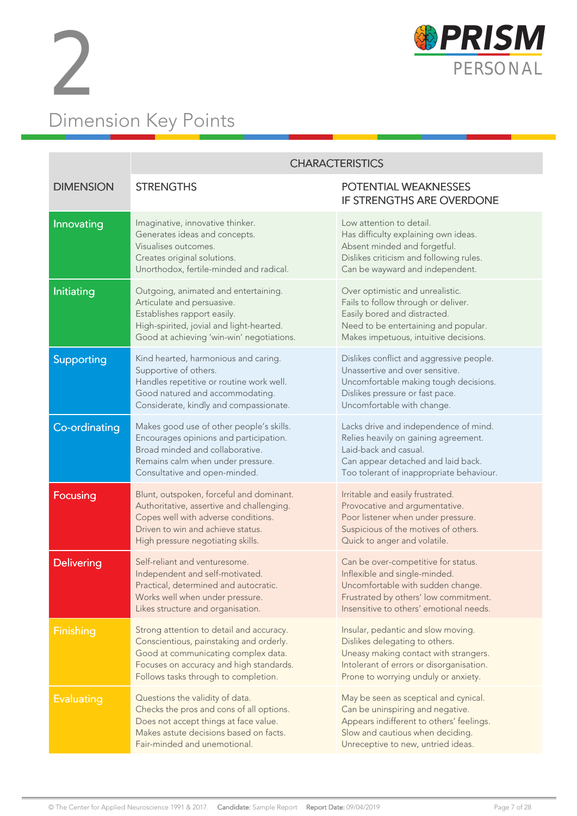



|                   | <b>CHARACTERISTICS</b>                                                                                                                                                                                        |                                                                                                                                                                                                   |  |  |  |  |  |  |  |
|-------------------|---------------------------------------------------------------------------------------------------------------------------------------------------------------------------------------------------------------|---------------------------------------------------------------------------------------------------------------------------------------------------------------------------------------------------|--|--|--|--|--|--|--|
| <b>DIMENSION</b>  | <b>STRENGTHS</b>                                                                                                                                                                                              | POTENTIAL WEAKNESSES<br>IF STRENGTHS ARE OVERDONE                                                                                                                                                 |  |  |  |  |  |  |  |
| Innovating        | Imaginative, innovative thinker.<br>Generates ideas and concepts.<br>Visualises outcomes.<br>Creates original solutions.<br>Unorthodox, fertile-minded and radical.                                           | Low attention to detail.<br>Has difficulty explaining own ideas.<br>Absent minded and forgetful.<br>Dislikes criticism and following rules.<br>Can be wayward and independent.                    |  |  |  |  |  |  |  |
| Initiating        | Outgoing, animated and entertaining.<br>Articulate and persuasive.<br>Establishes rapport easily.<br>High-spirited, jovial and light-hearted.<br>Good at achieving 'win-win' negotiations.                    | Over optimistic and unrealistic.<br>Fails to follow through or deliver.<br>Easily bored and distracted.<br>Need to be entertaining and popular.<br>Makes impetuous, intuitive decisions.          |  |  |  |  |  |  |  |
| Supporting        | Kind hearted, harmonious and caring.<br>Supportive of others.<br>Handles repetitive or routine work well.<br>Good natured and accommodating.<br>Considerate, kindly and compassionate.                        | Dislikes conflict and aggressive people.<br>Unassertive and over sensitive.<br>Uncomfortable making tough decisions.<br>Dislikes pressure or fast pace.<br>Uncomfortable with change.             |  |  |  |  |  |  |  |
| Co-ordinating     | Makes good use of other people's skills.<br>Encourages opinions and participation.<br>Broad minded and collaborative.<br>Remains calm when under pressure.<br>Consultative and open-minded.                   | Lacks drive and independence of mind.<br>Relies heavily on gaining agreement.<br>Laid-back and casual.<br>Can appear detached and laid back.<br>Too tolerant of inappropriate behaviour.          |  |  |  |  |  |  |  |
| <b>Focusing</b>   | Blunt, outspoken, forceful and dominant.<br>Authoritative, assertive and challenging.<br>Copes well with adverse conditions.<br>Driven to win and achieve status.<br>High pressure negotiating skills.        | Irritable and easily frustrated.<br>Provocative and argumentative.<br>Poor listener when under pressure.<br>Suspicious of the motives of others.<br>Quick to anger and volatile.                  |  |  |  |  |  |  |  |
| <b>Delivering</b> | Self-reliant and venturesome.<br>Independent and self-motivated.<br>Practical, determined and autocratic.<br>Works well when under pressure.<br>Likes structure and organisation.                             | Can be over-competitive for status.<br>Inflexible and single-minded.<br>Uncomfortable with sudden change.<br>Frustrated by others' low commitment.<br>Insensitive to others' emotional needs.     |  |  |  |  |  |  |  |
| <b>Finishing</b>  | Strong attention to detail and accuracy.<br>Conscientious, painstaking and orderly.<br>Good at communicating complex data.<br>Focuses on accuracy and high standards.<br>Follows tasks through to completion. | Insular, pedantic and slow moving.<br>Dislikes delegating to others.<br>Uneasy making contact with strangers.<br>Intolerant of errors or disorganisation.<br>Prone to worrying unduly or anxiety. |  |  |  |  |  |  |  |
| <b>Evaluating</b> | Questions the validity of data.<br>Checks the pros and cons of all options.<br>Does not accept things at face value.<br>Makes astute decisions based on facts.<br>Fair-minded and unemotional.                | May be seen as sceptical and cynical.<br>Can be uninspiring and negative.<br>Appears indifferent to others' feelings.<br>Slow and cautious when deciding.<br>Unreceptive to new, untried ideas.   |  |  |  |  |  |  |  |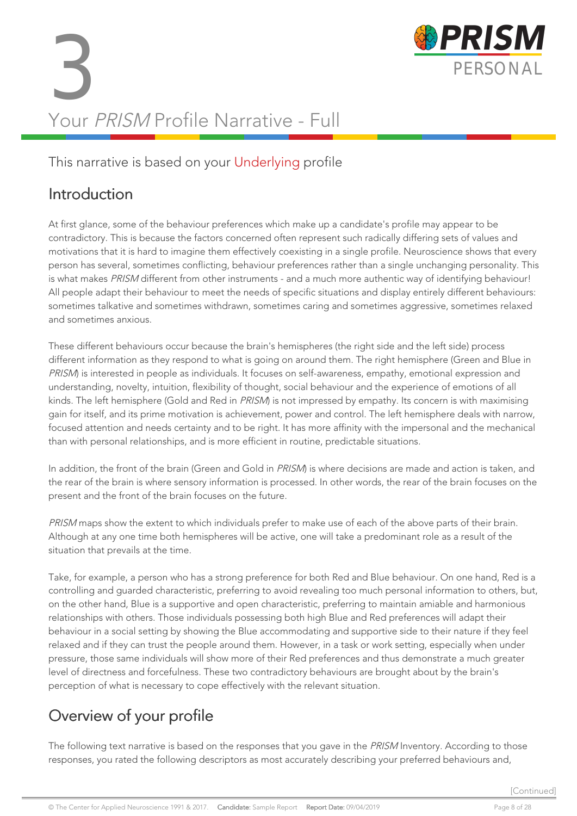# 3 PERSONAL<br>PERSONAL<br>Your PPICM Profile Nativities Full Your PRISM Profile Narrative - Full



#### This narrative is based on your Underlying profile

#### Introduction

At first glance, some of the behaviour preferences which make up a candidate's profile may appear to be contradictory. This is because the factors concerned often represent such radically differing sets of values and motivations that it is hard to imagine them effectively coexisting in a single profile. Neuroscience shows that every person has several, sometimes conflicting, behaviour preferences rather than a single unchanging personality. This is what makes PRISM different from other instruments - and a much more authentic way of identifying behaviour! All people adapt their behaviour to meet the needs of specific situations and display entirely different behaviours: sometimes talkative and sometimes withdrawn, sometimes caring and sometimes aggressive, sometimes relaxed and sometimes anxious.

These different behaviours occur because the brain's hemispheres (the right side and the left side) process different information as they respond to what is going on around them. The right hemisphere (Green and Blue in PRISM) is interested in people as individuals. It focuses on self-awareness, empathy, emotional expression and understanding, novelty, intuition, flexibility of thought, social behaviour and the experience of emotions of all kinds. The left hemisphere (Gold and Red in PRISM) is not impressed by empathy. Its concern is with maximising gain for itself, and its prime motivation is achievement, power and control. The left hemisphere deals with narrow, focused attention and needs certainty and to be right. It has more affinity with the impersonal and the mechanical than with personal relationships, and is more efficient in routine, predictable situations.

In addition, the front of the brain (Green and Gold in PRISM) is where decisions are made and action is taken, and the rear of the brain is where sensory information is processed. In other words, the rear of the brain focuses on the present and the front of the brain focuses on the future.

PRISM maps show the extent to which individuals prefer to make use of each of the above parts of their brain. Although at any one time both hemispheres will be active, one will take a predominant role as a result of the situation that prevails at the time.

Take, for example, a person who has a strong preference for both Red and Blue behaviour. On one hand, Red is a controlling and guarded characteristic, preferring to avoid revealing too much personal information to others, but, on the other hand, Blue is a supportive and open characteristic, preferring to maintain amiable and harmonious relationships with others. Those individuals possessing both high Blue and Red preferences will adapt their behaviour in a social setting by showing the Blue accommodating and supportive side to their nature if they feel relaxed and if they can trust the people around them. However, in a task or work setting, especially when under pressure, those same individuals will show more of their Red preferences and thus demonstrate a much greater level of directness and forcefulness. These two contradictory behaviours are brought about by the brain's perception of what is necessary to cope effectively with the relevant situation.

### Overview of your profile

The following text narrative is based on the responses that you gave in the PRISM Inventory. According to those responses, you rated the following descriptors as most accurately describing your preferred behaviours and,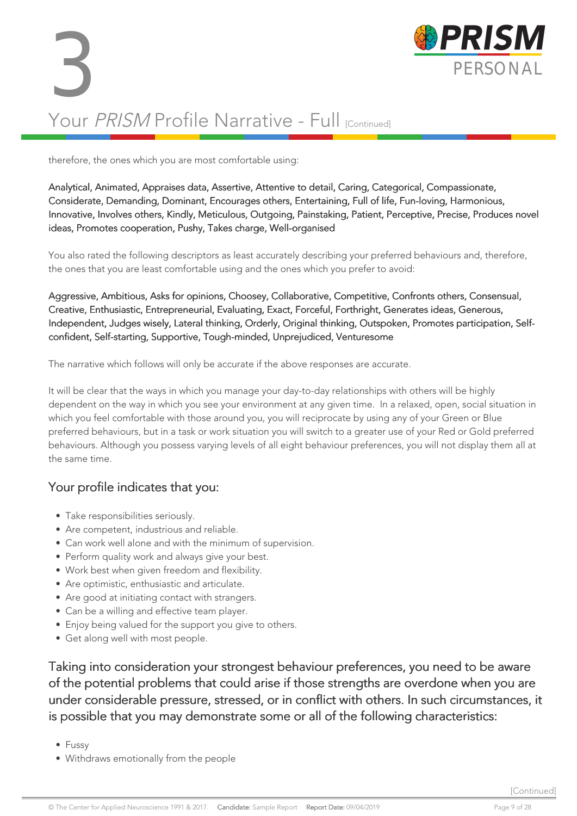# 3 PERSONAL Your PRISM Profile Narrative - Full [Continued]



therefore, the ones which you are most comfortable using:

Analytical, Animated, Appraises data, Assertive, Attentive to detail, Caring, Categorical, Compassionate, Considerate, Demanding, Dominant, Encourages others, Entertaining, Full of life, Fun-loving, Harmonious, Innovative, Involves others, Kindly, Meticulous, Outgoing, Painstaking, Patient, Perceptive, Precise, Produces novel ideas, Promotes cooperation, Pushy, Takes charge, Well-organised

You also rated the following descriptors as least accurately describing your preferred behaviours and, therefore, the ones that you are least comfortable using and the ones which you prefer to avoid:

Aggressive, Ambitious, Asks for opinions, Choosey, Collaborative, Competitive, Confronts others, Consensual, Creative, Enthusiastic, Entrepreneurial, Evaluating, Exact, Forceful, Forthright, Generates ideas, Generous, Independent, Judges wisely, Lateral thinking, Orderly, Original thinking, Outspoken, Promotes participation, Selfconfident, Self-starting, Supportive, Tough-minded, Unprejudiced, Venturesome

The narrative which follows will only be accurate if the above responses are accurate.

It will be clear that the ways in which you manage your day-to-day relationships with others will be highly dependent on the way in which you see your environment at any given time. In a relaxed, open, social situation in which you feel comfortable with those around you, you will reciprocate by using any of your Green or Blue preferred behaviours, but in a task or work situation you will switch to a greater use of your Red or Gold preferred behaviours. Although you possess varying levels of all eight behaviour preferences, you will not display them all at the same time.

#### Your profile indicates that you:

- Take responsibilities seriously.
- Are competent, industrious and reliable.
- Can work well alone and with the minimum of supervision.
- Perform quality work and always give your best.
- Work best when given freedom and flexibility.
- Are optimistic, enthusiastic and articulate.
- Are good at initiating contact with strangers.
- Can be a willing and effective team player.
- Enjoy being valued for the support you give to others.
- Get along well with most people.

Taking into consideration your strongest behaviour preferences, you need to be aware of the potential problems that could arise if those strengths are overdone when you are under considerable pressure, stressed, or in conflict with others. In such circumstances, it is possible that you may demonstrate some or all of the following characteristics:

- Fussy
- Withdraws emotionally from the people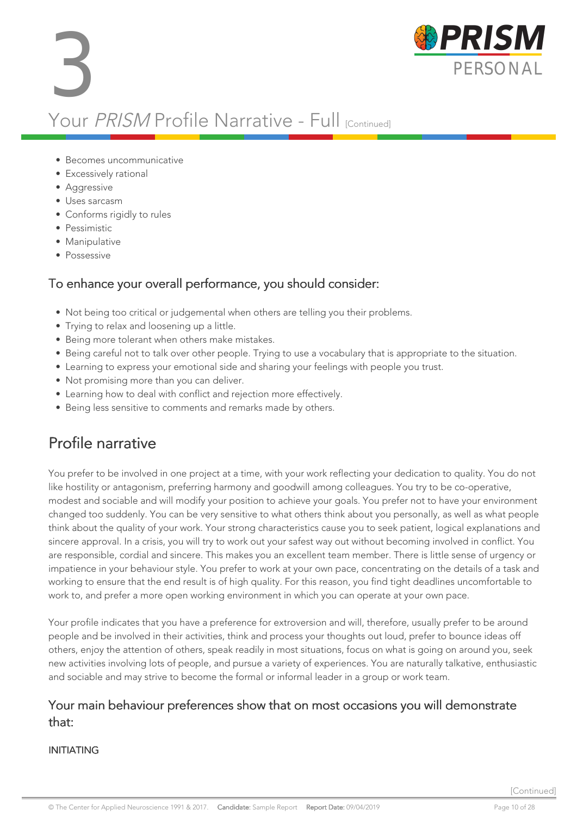



- Excessively rational
- Aggressive
- Uses sarcasm
- Conforms rigidly to rules
- Pessimistic
- Manipulative
- Possessive

#### To enhance your overall performance, you should consider:

- Not being too critical or judgemental when others are telling you their problems.
- Trying to relax and loosening up a little.
- Being more tolerant when others make mistakes.
- Being careful not to talk over other people. Trying to use a vocabulary that is appropriate to the situation.
- Learning to express your emotional side and sharing your feelings with people you trust.
- Not promising more than you can deliver.
- Learning how to deal with conflict and rejection more effectively.
- Being less sensitive to comments and remarks made by others.

#### Profile narrative

You prefer to be involved in one project at a time, with your work reflecting your dedication to quality. You do not like hostility or antagonism, preferring harmony and goodwill among colleagues. You try to be co-operative, modest and sociable and will modify your position to achieve your goals. You prefer not to have your environment changed too suddenly. You can be very sensitive to what others think about you personally, as well as what people think about the quality of your work. Your strong characteristics cause you to seek patient, logical explanations and sincere approval. In a crisis, you will try to work out your safest way out without becoming involved in conflict. You are responsible, cordial and sincere. This makes you an excellent team member. There is little sense of urgency or impatience in your behaviour style. You prefer to work at your own pace, concentrating on the details of a task and working to ensure that the end result is of high quality. For this reason, you find tight deadlines uncomfortable to work to, and prefer a more open working environment in which you can operate at your own pace.

Your profile indicates that you have a preference for extroversion and will, therefore, usually prefer to be around people and be involved in their activities, think and process your thoughts out loud, prefer to bounce ideas off others, enjoy the attention of others, speak readily in most situations, focus on what is going on around you, seek new activities involving lots of people, and pursue a variety of experiences. You are naturally talkative, enthusiastic and sociable and may strive to become the formal or informal leader in a group or work team.

#### Your main behaviour preferences show that on most occasions you will demonstrate that:

#### INITIATING

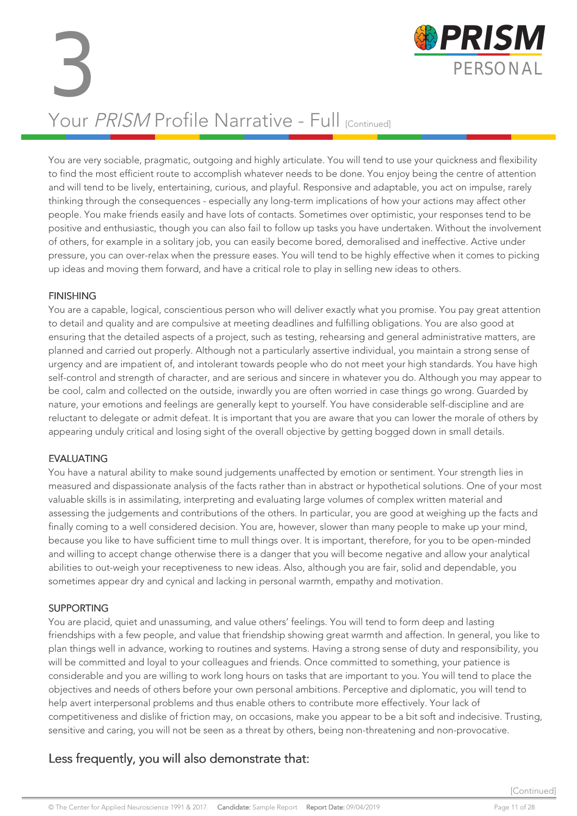3 PERSONAL Your PRISM Profile Narrative - Full [Continued]



You are very sociable, pragmatic, outgoing and highly articulate. You will tend to use your quickness and flexibility to find the most efficient route to accomplish whatever needs to be done. You enjoy being the centre of attention and will tend to be lively, entertaining, curious, and playful. Responsive and adaptable, you act on impulse, rarely thinking through the consequences - especially any long-term implications of how your actions may affect other people. You make friends easily and have lots of contacts. Sometimes over optimistic, your responses tend to be positive and enthusiastic, though you can also fail to follow up tasks you have undertaken. Without the involvement of others, for example in a solitary job, you can easily become bored, demoralised and ineffective. Active under pressure, you can over-relax when the pressure eases. You will tend to be highly effective when it comes to picking up ideas and moving them forward, and have a critical role to play in selling new ideas to others.

#### FINISHING

You are a capable, logical, conscientious person who will deliver exactly what you promise. You pay great attention to detail and quality and are compulsive at meeting deadlines and fulfilling obligations. You are also good at ensuring that the detailed aspects of a project, such as testing, rehearsing and general administrative matters, are planned and carried out properly. Although not a particularly assertive individual, you maintain a strong sense of urgency and are impatient of, and intolerant towards people who do not meet your high standards. You have high self-control and strength of character, and are serious and sincere in whatever you do. Although you may appear to be cool, calm and collected on the outside, inwardly you are often worried in case things go wrong. Guarded by nature, your emotions and feelings are generally kept to yourself. You have considerable self-discipline and are reluctant to delegate or admit defeat. It is important that you are aware that you can lower the morale of others by appearing unduly critical and losing sight of the overall objective by getting bogged down in small details.

#### EVALUATING

You have a natural ability to make sound judgements unaffected by emotion or sentiment. Your strength lies in measured and dispassionate analysis of the facts rather than in abstract or hypothetical solutions. One of your most valuable skills is in assimilating, interpreting and evaluating large volumes of complex written material and assessing the judgements and contributions of the others. In particular, you are good at weighing up the facts and finally coming to a well considered decision. You are, however, slower than many people to make up your mind, because you like to have sufficient time to mull things over. It is important, therefore, for you to be open-minded and willing to accept change otherwise there is a danger that you will become negative and allow your analytical abilities to out-weigh your receptiveness to new ideas. Also, although you are fair, solid and dependable, you sometimes appear dry and cynical and lacking in personal warmth, empathy and motivation.

#### SUPPORTING

You are placid, quiet and unassuming, and value others' feelings. You will tend to form deep and lasting friendships with a few people, and value that friendship showing great warmth and affection. In general, you like to plan things well in advance, working to routines and systems. Having a strong sense of duty and responsibility, you will be committed and loyal to your colleagues and friends. Once committed to something, your patience is considerable and you are willing to work long hours on tasks that are important to you. You will tend to place the objectives and needs of others before your own personal ambitions. Perceptive and diplomatic, you will tend to help avert interpersonal problems and thus enable others to contribute more effectively. Your lack of competitiveness and dislike of friction may, on occasions, make you appear to be a bit soft and indecisive. Trusting, sensitive and caring, you will not be seen as a threat by others, being non-threatening and non-provocative.

#### Less frequently, you will also demonstrate that:

[Continued]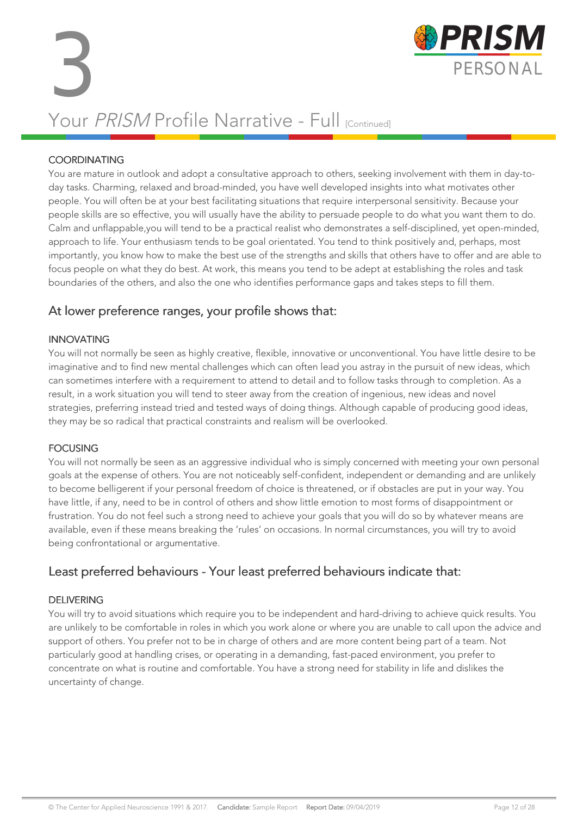

### Your PRISM Profile Narrative - Full [Continued]

#### **COORDINATING**

You are mature in outlook and adopt a consultative approach to others, seeking involvement with them in day-today tasks. Charming, relaxed and broad-minded, you have well developed insights into what motivates other people. You will often be at your best facilitating situations that require interpersonal sensitivity. Because your people skills are so effective, you will usually have the ability to persuade people to do what you want them to do. Calm and unflappable,you will tend to be a practical realist who demonstrates a self-disciplined, yet open-minded, approach to life. Your enthusiasm tends to be goal orientated. You tend to think positively and, perhaps, most importantly, you know how to make the best use of the strengths and skills that others have to offer and are able to focus people on what they do best. At work, this means you tend to be adept at establishing the roles and task boundaries of the others, and also the one who identifies performance gaps and takes steps to fill them.

#### At lower preference ranges, your profile shows that:

#### INNOVATING

You will not normally be seen as highly creative, flexible, innovative or unconventional. You have little desire to be imaginative and to find new mental challenges which can often lead you astray in the pursuit of new ideas, which can sometimes interfere with a requirement to attend to detail and to follow tasks through to completion. As a result, in a work situation you will tend to steer away from the creation of ingenious, new ideas and novel strategies, preferring instead tried and tested ways of doing things. Although capable of producing good ideas, they may be so radical that practical constraints and realism will be overlooked.

#### FOCUSING

You will not normally be seen as an aggressive individual who is simply concerned with meeting your own personal goals at the expense of others. You are not noticeably self-confident, independent or demanding and are unlikely to become belligerent if your personal freedom of choice is threatened, or if obstacles are put in your way. You have little, if any, need to be in control of others and show little emotion to most forms of disappointment or frustration. You do not feel such a strong need to achieve your goals that you will do so by whatever means are available, even if these means breaking the 'rules' on occasions. In normal circumstances, you will try to avoid being confrontational or argumentative.

#### Least preferred behaviours - Your least preferred behaviours indicate that:

#### DELIVERING

You will try to avoid situations which require you to be independent and hard-driving to achieve quick results. You are unlikely to be comfortable in roles in which you work alone or where you are unable to call upon the advice and support of others. You prefer not to be in charge of others and are more content being part of a team. Not particularly good at handling crises, or operating in a demanding, fast-paced environment, you prefer to concentrate on what is routine and comfortable. You have a strong need for stability in life and dislikes the uncertainty of change.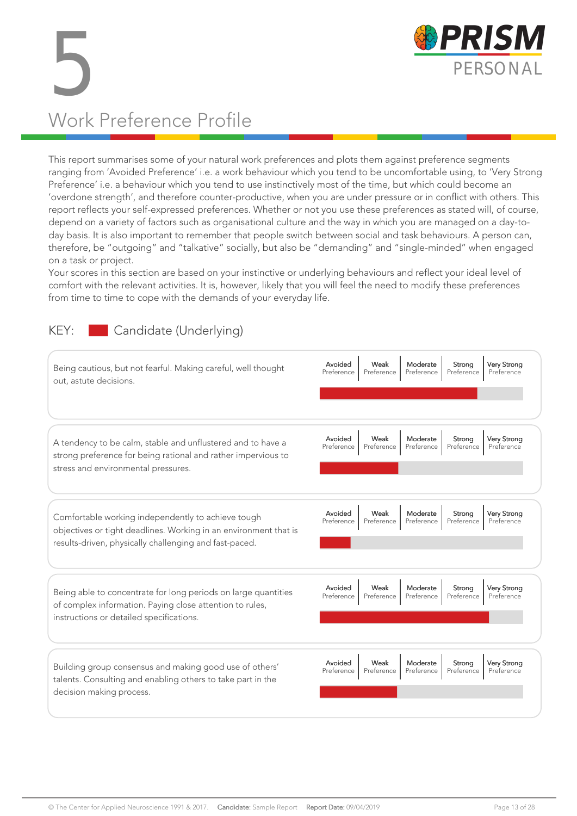

# 5 PERSONAL Work Preference Profile

This report summarises some of your natural work preferences and plots them against preference segments ranging from 'Avoided Preference' i.e. a work behaviour which you tend to be uncomfortable using, to 'Very Strong Preference' i.e. a behaviour which you tend to use instinctively most of the time, but which could become an 'overdone strength', and therefore counter-productive, when you are under pressure or in conflict with others. This report reflects your self-expressed preferences. Whether or not you use these preferences as stated will, of course, depend on a variety of factors such as organisational culture and the way in which you are managed on a day-today basis. It is also important to remember that people switch between social and task behaviours. A person can, therefore, be "outgoing" and "talkative" socially, but also be "demanding" and "single-minded" when engaged on a task or project.

Your scores in this section are based on your instinctive or underlying behaviours and reflect your ideal level of comfort with the relevant activities. It is, however, likely that you will feel the need to modify these preferences from time to time to cope with the demands of your everyday life.

#### KEY: Candidate (Underlying)

| Being cautious, but not fearful. Making careful, well thought<br>out, astute decisions.                                                                                          | Avoided<br>Very Strong<br>Weak<br>Moderate<br>Strong<br>Preference<br>Preference<br>Preference<br>Preference<br>Preference        |
|----------------------------------------------------------------------------------------------------------------------------------------------------------------------------------|-----------------------------------------------------------------------------------------------------------------------------------|
| A tendency to be calm, stable and unflustered and to have a<br>strong preference for being rational and rather impervious to<br>stress and environmental pressures.              | Avoided<br>Weak<br>Moderate<br><b>Very Strong</b><br>Strong<br>Preference<br>Preference<br>Preference<br>Preference<br>Preference |
| Comfortable working independently to achieve tough<br>objectives or tight deadlines. Working in an environment that is<br>results-driven, physically challenging and fast-paced. | Avoided<br>Weak<br><b>Very Strong</b><br>Moderate<br>Strong<br>Preference<br>Preference<br>Preference<br>Preference<br>Preference |
| Being able to concentrate for long periods on large quantities<br>of complex information. Paying close attention to rules,<br>instructions or detailed specifications.           | Avoided<br><b>Very Strong</b><br>Weak<br>Moderate<br>Strong<br>Preference<br>Preference<br>Preference<br>Preference<br>Preference |
| Building group consensus and making good use of others'<br>talents. Consulting and enabling others to take part in the<br>decision making process.                               | Avoided<br>Weak<br>Moderate<br><b>Very Strong</b><br>Strong<br>Preference<br>Preference<br>Preference<br>Preference<br>Preference |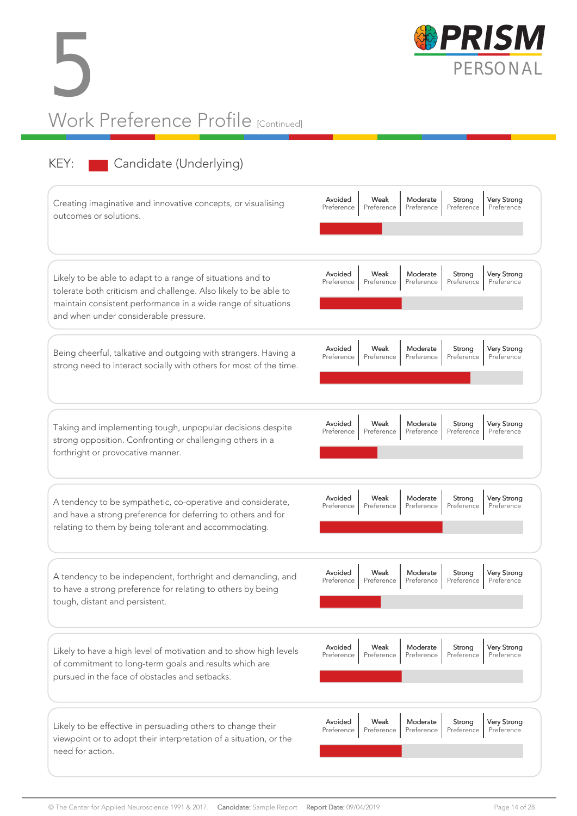



### KEY: Candidate (Underlying)

| Creating imaginative and innovative concepts, or visualising<br>outcomes or solutions.                                                                                                                                                   | Avoided<br><b>Very Strong</b><br>Weak<br>Moderate<br>Strong<br>Preference<br>Preference<br>Preference<br>Preference<br>Preference |
|------------------------------------------------------------------------------------------------------------------------------------------------------------------------------------------------------------------------------------------|-----------------------------------------------------------------------------------------------------------------------------------|
| Likely to be able to adapt to a range of situations and to<br>tolerate both criticism and challenge. Also likely to be able to<br>maintain consistent performance in a wide range of situations<br>and when under considerable pressure. | Avoided<br>Weak<br>Moderate<br><b>Very Strong</b><br>Strong<br>Preference<br>Preference<br>Preference<br>Preference<br>Preference |
| Being cheerful, talkative and outgoing with strangers. Having a<br>strong need to interact socially with others for most of the time.                                                                                                    | Avoided<br>Weak<br>Moderate<br>Strong<br><b>Very Strong</b><br>Preference<br>Preference<br>Preference<br>Preference<br>Preference |
| Taking and implementing tough, unpopular decisions despite<br>strong opposition. Confronting or challenging others in a<br>forthright or provocative manner.                                                                             | Avoided<br>Weak<br>Moderate<br><b>Very Strong</b><br>Strong<br>Preference<br>Preference<br>Preference<br>Preference<br>Preference |
| A tendency to be sympathetic, co-operative and considerate,<br>and have a strong preference for deferring to others and for<br>relating to them by being tolerant and accommodating.                                                     | Avoided<br>Moderate<br><b>Very Strong</b><br>Weak<br>Strong<br>Preference<br>Preference<br>Preference<br>Preference<br>Preference |
| A tendency to be independent, forthright and demanding, and<br>to have a strong preference for relating to others by being<br>tough, distant and persistent.                                                                             | Avoided<br><b>Very Strong</b><br>Weak<br>Moderate<br>Strong<br>Preference<br>Preference<br>Preference<br>Preference<br>Preference |
| Likely to have a high level of motivation and to show high levels<br>of commitment to long-term goals and results which are<br>pursued in the face of obstacles and setbacks.                                                            | Avoided<br>Weak<br>Very Strong<br>Moderate<br>Strong<br>Preference<br>Preference<br>Preference<br>Preference<br>Preference        |
| Likely to be effective in persuading others to change their<br>viewpoint or to adopt their interpretation of a situation, or the<br>need for action.                                                                                     | Avoided<br>Weak<br>Moderate<br><b>Very Strong</b><br>Strong<br>Preference<br>Preference<br>Preference<br>Preference<br>Preference |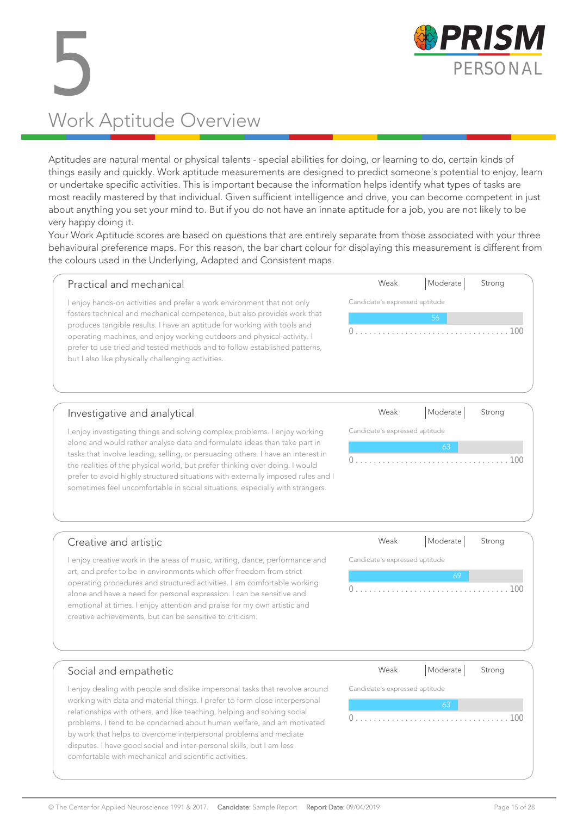

# 5 PERSONAL Work Aptitude Overview

Aptitudes are natural mental or physical talents - special abilities for doing, or learning to do, certain kinds of things easily and quickly. Work aptitude measurements are designed to predict someone's potential to enjoy, learn or undertake specific activities. This is important because the information helps identify what types of tasks are most readily mastered by that individual. Given sufficient intelligence and drive, you can become competent in just about anything you set your mind to. But if you do not have an innate aptitude for a job, you are not likely to be very happy doing it.

Your Work Aptitude scores are based on questions that are entirely separate from those associated with your three behavioural preference maps. For this reason, the bar chart colour for displaying this measurement is different from the colours used in the Underlying, Adapted and Consistent maps.

| Practical and mechanical                                                                                                                                                                                    | Weak                           | Moderate                             | Strong      |  |  |  |  |  |  |
|-------------------------------------------------------------------------------------------------------------------------------------------------------------------------------------------------------------|--------------------------------|--------------------------------------|-------------|--|--|--|--|--|--|
| enjoy hands-on activities and prefer a work environment that not only                                                                                                                                       | Candidate's expressed aptitude |                                      |             |  |  |  |  |  |  |
| fosters technical and mechanical competence, but also provides work that<br>produces tangible results. I have an aptitude for working with tools and                                                        | 56                             |                                      |             |  |  |  |  |  |  |
| operating machines, and enjoy working outdoors and physical activity. I<br>prefer to use tried and tested methods and to follow established patterns,<br>but I also like physically challenging activities. |                                | and a straightful and a straight and | 100         |  |  |  |  |  |  |
| المتمازلة والمتمريض المتمرض بمرورة والمتواطن ومرومان                                                                                                                                                        | $M_{\odot}$                    | Modorot                              | $S_{trann}$ |  |  |  |  |  |  |

#### Investigative and analytical

I enjoy investigating things and solving complex problems. I enjoy working alone and would rather analyse data and formulate ideas than take part in tasks that involve leading, selling, or persuading others. I have an interest in the realities of the physical world, but prefer thinking over doing. I would prefer to avoid highly structured situations with externally imposed rules and I sometimes feel uncomfortable in social situations, especially with strangers.

| Weak                           | Moderate   Strong |  |
|--------------------------------|-------------------|--|
| Candidate's expressed aptitude |                   |  |
|                                | 63                |  |
|                                |                   |  |

#### Creative and artistic

I enjoy creative work in the areas of music, writing, dance, performance and art, and prefer to be in environments which offer freedom from strict operating procedures and structured activities. I am comfortable working alone and have a need for personal expression. I can be sensitive and emotional at times. I enjoy attention and praise for my own artistic and creative achievements, but can be sensitive to criticism.

| Weak                           | Moderate  Strong |  |
|--------------------------------|------------------|--|
| Candidate's expressed aptitude |                  |  |
|                                | 69               |  |
|                                |                  |  |
|                                |                  |  |
|                                |                  |  |

#### Social and empathetic

I enjoy dealing with people and dislike impersonal tasks that revolve around working with data and material things. I prefer to form close interpersonal relationships with others, and like teaching, helping and solving social problems. I tend to be concerned about human welfare, and am motivated by work that helps to overcome interpersonal problems and mediate disputes. I have good social and inter-personal skills, but I am less comfortable with mechanical and scientific activities.

| Weak                           | Moderate Strong |     |
|--------------------------------|-----------------|-----|
| Candidate's expressed aptitude |                 |     |
|                                | 63              |     |
|                                |                 | 100 |
|                                |                 |     |
|                                |                 |     |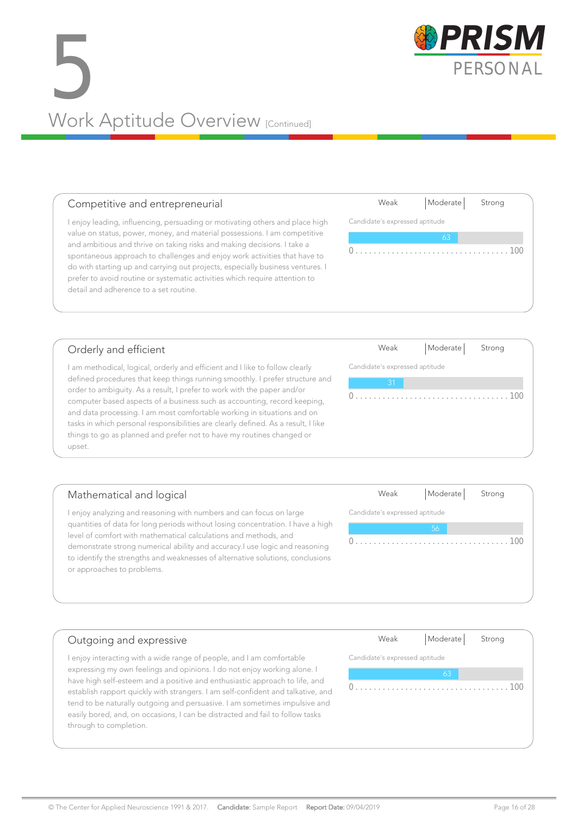easily bored, and, on occasions, I can be distracted and fail to follow tasks

# 5 PERSONAL<br>PERSONAL<br>Mode Aptitude Overview Work Aptitude Overview [Continued]

#### Competitive and entrepreneurial

I enjoy leading, influencing, persuading or motivating others and place high value on status, power, money, and material possessions. I am competitive and ambitious and thrive on taking risks and making decisions. I take a spontaneous approach to challenges and enjoy work activities that have to do with starting up and carrying out projects, especially business ventures. I prefer to avoid routine or systematic activities which require attention to detail and adherence to a set routine.

#### Orderly and efficient

through to completion.

I am methodical, logical, orderly and efficient and I like to follow clearly defined procedures that keep things running smoothly. I prefer structure and order to ambiguity. As a result, I prefer to work with the paper and/or computer based aspects of a business such as accounting, record keeping, and data processing. I am most comfortable working in situations and on tasks in which personal responsibilities are clearly defined. As a result, I like things to go as planned and prefer not to have my routines changed or upset.

#### Mathematical and logical I enjoy analyzing and reasoning with numbers and can focus on large quantities of data for long periods without losing concentration. I have a high Candidate's expressed aptitude 0 . . . . . . . . . . . . . . . . . . . . . . . . . . . . . . . . . . 100

level of comfort with mathematical calculations and methods, and demonstrate strong numerical ability and accuracy.I use logic and reasoning to identify the strengths and weaknesses of alternative solutions, conclusions or approaches to problems.

#### Outgoing and expressive I enjoy interacting with a wide range of people, and I am comfortable expressing my own feelings and opinions. I do not enjoy working alone. I have high self-esteem and a positive and enthusiastic approach to life, and establish rapport quickly with strangers. I am self-confident and talkative, and tend to be naturally outgoing and persuasive. I am sometimes impulsive and Weak | Moderate | Strong Candidate's expressed aptitude 0 . . . . . . . . . . . . . . . . . . . . . . . . . . . . . . . . . . 100

Weak | Moderate | Strong

Candidate's expressed aptitude 0 . . . . . . . . . . . . . . . . . . . . . . . . . . . . . . . . . . 100

Weak | Moderate | Strong

Weak | Moderate | Strong

0 . . . . . . . . . . . . . . . . . . . . . . . . . . . . . . . . . . 100

Candidate's expressed aptitude

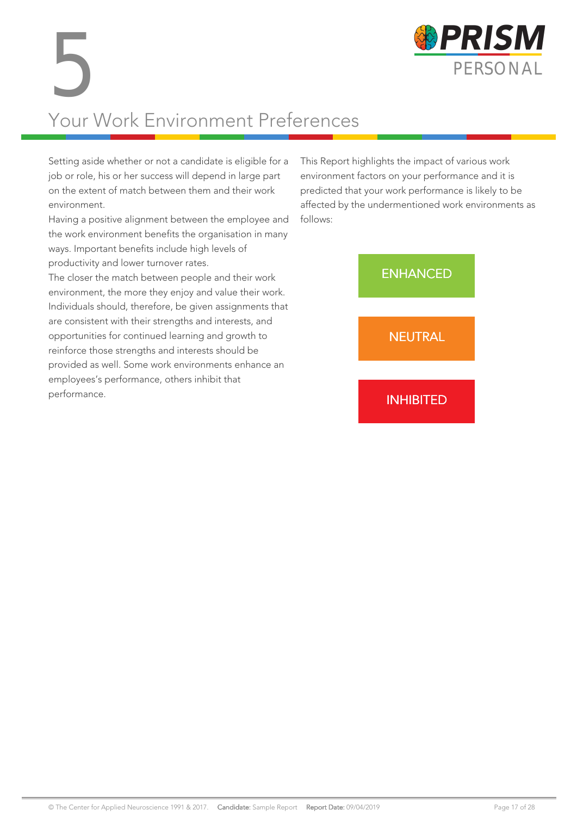

# Your Work Environment Preferences 5

Setting aside whether or not a candidate is eligible for a job or role, his or her success will depend in large part on the extent of match between them and their work environment.

Having a positive alignment between the employee and the work environment benefits the organisation in many ways. Important benefits include high levels of productivity and lower turnover rates.

The closer the match between people and their work environment, the more they enjoy and value their work. Individuals should, therefore, be given assignments that are consistent with their strengths and interests, and opportunities for continued learning and growth to reinforce those strengths and interests should be provided as well. Some work environments enhance an employees's performance, others inhibit that performance.

This Report highlights the impact of various work environment factors on your performance and it is predicted that your work performance is likely to be affected by the undermentioned work environments as follows:

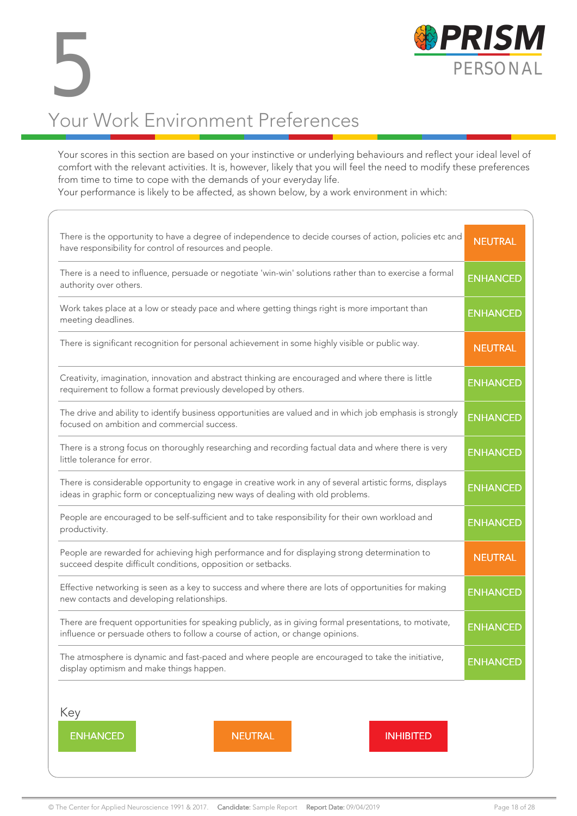

### Your Work Environment Preferences 5

Your scores in this section are based on your instinctive or underlying behaviours and reflect your ideal level of comfort with the relevant activities. It is, however, likely that you will feel the need to modify these preferences from time to time to cope with the demands of your everyday life.

Your performance is likely to be affected, as shown below, by a work environment in which:

| There is the opportunity to have a degree of independence to decide courses of action, policies etc and<br>have responsibility for control of resources and people.                        | <b>NEUTRAL</b>  |
|--------------------------------------------------------------------------------------------------------------------------------------------------------------------------------------------|-----------------|
| There is a need to influence, persuade or negotiate 'win-win' solutions rather than to exercise a formal<br>authority over others.                                                         | <b>ENHANCED</b> |
| Work takes place at a low or steady pace and where getting things right is more important than<br>meeting deadlines.                                                                       | <b>ENHANCED</b> |
| There is significant recognition for personal achievement in some highly visible or public way.                                                                                            | <b>NEUTRAL</b>  |
| Creativity, imagination, innovation and abstract thinking are encouraged and where there is little<br>requirement to follow a format previously developed by others.                       | <b>ENHANCED</b> |
| The drive and ability to identify business opportunities are valued and in which job emphasis is strongly<br>focused on ambition and commercial success.                                   | <b>ENHANCED</b> |
| There is a strong focus on thoroughly researching and recording factual data and where there is very<br>little tolerance for error.                                                        | <b>ENHANCED</b> |
| There is considerable opportunity to engage in creative work in any of several artistic forms, displays<br>ideas in graphic form or conceptualizing new ways of dealing with old problems. | <b>ENHANCED</b> |
| People are encouraged to be self-sufficient and to take responsibility for their own workload and<br>productivity.                                                                         | <b>ENHANCED</b> |
| People are rewarded for achieving high performance and for displaying strong determination to<br>succeed despite difficult conditions, opposition or setbacks.                             | <b>NEUTRAL</b>  |
| Effective networking is seen as a key to success and where there are lots of opportunities for making<br>new contacts and developing relationships.                                        | <b>ENHANCED</b> |
| There are frequent opportunities for speaking publicly, as in giving formal presentations, to motivate,<br>influence or persuade others to follow a course of action, or change opinions.  | <b>ENHANCED</b> |
| The atmosphere is dynamic and fast-paced and where people are encouraged to take the initiative,<br>display optimism and make things happen.                                               | <b>ENHANCED</b> |
|                                                                                                                                                                                            |                 |
| Key<br><b>ENHANCED</b><br><b>NEUTRAL</b><br><b>INHIBITED</b>                                                                                                                               |                 |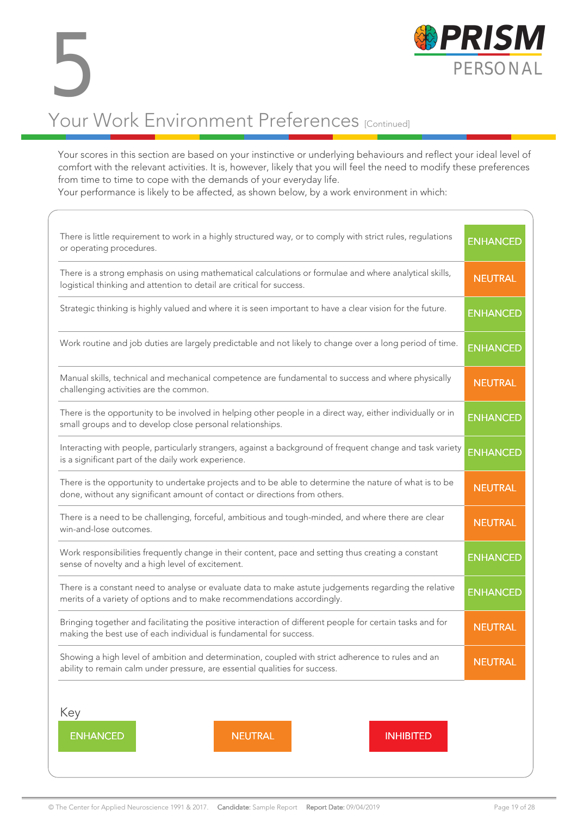

#### Your scores in this section are based on your instinctive or underlying behaviours and reflect your ideal level of comfort with the relevant activities. It is, however, likely that you will feel the need to modify these preferences from time to time to cope with the demands of your everyday life.

Your performance is likely to be affected, as shown below, by a work environment in which:

| There is little requirement to work in a highly structured way, or to comply with strict rules, regulations<br>or operating procedures.                                              | <b>ENHANCED</b> |
|--------------------------------------------------------------------------------------------------------------------------------------------------------------------------------------|-----------------|
| There is a strong emphasis on using mathematical calculations or formulae and where analytical skills,<br>logistical thinking and attention to detail are critical for success.      | <b>NEUTRAL</b>  |
| Strategic thinking is highly valued and where it is seen important to have a clear vision for the future.                                                                            | <b>ENHANCED</b> |
| Work routine and job duties are largely predictable and not likely to change over a long period of time.                                                                             | <b>ENHANCED</b> |
| Manual skills, technical and mechanical competence are fundamental to success and where physically<br>challenging activities are the common.                                         | <b>NEUTRAL</b>  |
| There is the opportunity to be involved in helping other people in a direct way, either individually or in<br>small groups and to develop close personal relationships.              | <b>ENHANCED</b> |
| Interacting with people, particularly strangers, against a background of frequent change and task variety<br>is a significant part of the daily work experience.                     | <b>ENHANCED</b> |
| There is the opportunity to undertake projects and to be able to determine the nature of what is to be<br>done, without any significant amount of contact or directions from others. | <b>NEUTRAL</b>  |
| There is a need to be challenging, forceful, ambitious and tough-minded, and where there are clear<br>win-and-lose outcomes.                                                         | <b>NEUTRAL</b>  |
| Work responsibilities frequently change in their content, pace and setting thus creating a constant<br>sense of novelty and a high level of excitement.                              | <b>ENHANCED</b> |
| There is a constant need to analyse or evaluate data to make astute judgements regarding the relative<br>merits of a variety of options and to make recommendations accordingly.     | <b>ENHANCED</b> |
| Bringing together and facilitating the positive interaction of different people for certain tasks and for<br>making the best use of each individual is fundamental for success.      | <b>NEUTRAL</b>  |
| Showing a high level of ambition and determination, coupled with strict adherence to rules and an<br>ability to remain calm under pressure, are essential qualities for success.     | <b>NEUTRAL</b>  |
| Key                                                                                                                                                                                  |                 |
| <b>ENHANCED</b><br><b>NEUTRAL</b><br><b>INHIBITED</b>                                                                                                                                |                 |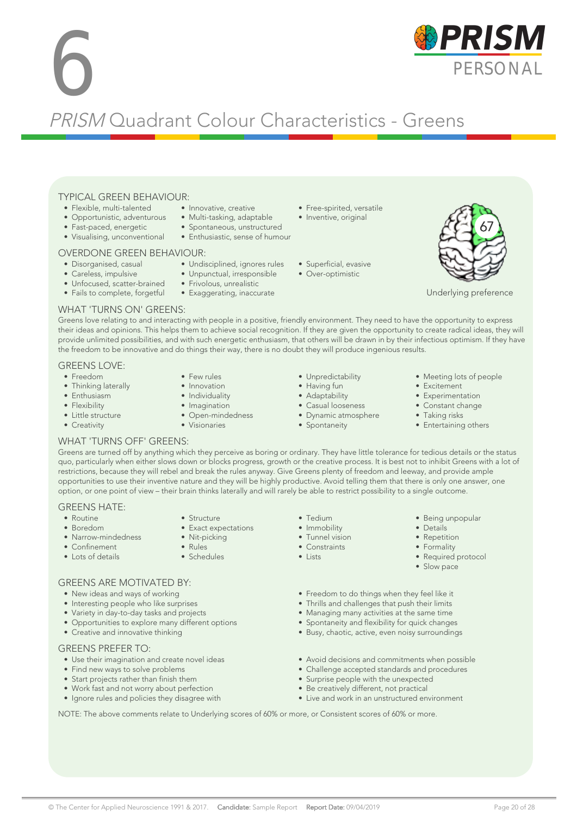#### TYPICAL GREEN BEHAVIOUR: • Innovative, creative

- Flexible, multi-talented • Opportunistic, adventurous
- 
- Fast-paced, energetic • Visualising, unconventional

#### OVERDONE GREEN BEHAVIOUR:

- Disorganised, casual
- Careless, impulsive
- Unfocused, scatter-brained
- Fails to complete, forgetful

#### WHAT 'TURNS ON' GREENS:

Greens love relating to and interacting with people in a positive, friendly environment. They need to have the opportunity to express their ideas and opinions. This helps them to achieve social recognition. If they are given the opportunity to create radical ideas, they will provide unlimited possibilities, and with such energetic enthusiasm, that others will be drawn in by their infectious optimism. If they have the freedom to be innovative and do things their way, there is no doubt they will produce ingenious results.

#### GREENS LOVE:

- Freedom
- Thinking laterally
- Enthusiasm
- Flexibility
- Little structure
- Creativity
- Innovation • Individuality
- Imagination
- Open-mindedness
- Visionaries
- - -

• Tedium • Immobility • Tunnel vision • Constraints • Lists

- 
- 
- 
- Taking risks
- Entertaining others

#### WHAT 'TURNS OFF' GREENS:

Greens are turned off by anything which they perceive as boring or ordinary. They have little tolerance for tedious details or the status quo, particularly when either slows down or blocks progress, growth or the creative process. It is best not to inhibit Greens with a lot of restrictions, because they will rebel and break the rules anyway. Give Greens plenty of freedom and leeway, and provide ample opportunities to use their inventive nature and they will be highly productive. Avoid telling them that there is only one answer, one option, or one point of view – their brain thinks laterally and will rarely be able to restrict possibility to a single outcome.

#### GREENS HATE:

- Routine • Boredom
- Narrow-mindedness
- Confinement
- Lots of details
- Structure • Exact expectations
- Nit-picking
- Rules
- Schedules

#### GREENS ARE MOTIVATED BY:

- New ideas and ways of working
- Interesting people who like surprises
- Variety in day-to-day tasks and projects
- Opportunities to explore many different options
- Creative and innovative thinking

#### GREENS PREFER TO:

- Use their imagination and create novel ideas
- Find new ways to solve problems
- Start projects rather than finish them
- Work fast and not worry about perfection
- Ignore rules and policies they disagree with
- Freedom to do things when they feel like it
- Thrills and challenges that push their limits
- Managing many activities at the same time
- Spontaneity and flexibility for quick changes
- Busy, chaotic, active, even noisy surroundings
- Avoid decisions and commitments when possible
- Challenge accepted standards and procedures
- Surprise people with the unexpected
- Be creatively different, not practical
- Live and work in an unstructured environment

NOTE: The above comments relate to Underlying scores of 60% or more, or Consistent scores of 60% or more.

- Few rules
- - Unpredictability • Having fun
		- Adaptability
		- Casual looseness
		- Dynamic atmosphere • Spontaneity
		-
- Meeting lots of people
	- Excitement
	- Experimentation • Constant change

- Being unpopular
- Details
- Repetition
- Formality
- Required protocol
- Slow pace



- 
- Frivolous, unrealistic
- Exaggerating, inaccurate
- Multi-tasking, adaptable • Free-spirited, versatile • Inventive, original
	- -
	- Over-optimistic
- 

Underlying preference

67

- Spontaneous, unstructured • Enthusiastic, sense of humour
	-

PRISM Quadrant Colour Characteristics - Greens

- Superficial, evasive
- 
- -
- Undisciplined, ignores rules • Unpunctual, irresponsible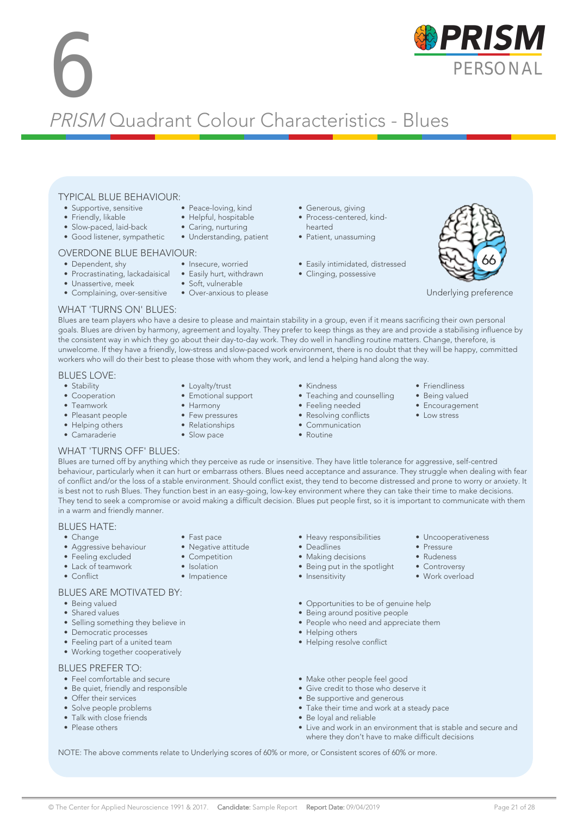# **6** PRISM Quadrant Colour Characteristics - Blues

#### TYPICAL BLUE BEHAVIOUR:

- Supportive, sensitive
- Friendly, likable
- Slow-paced, laid-back
- Good listener, sympathetic
- 

#### OVERDONE BLUE BEHAVIOUR:

- Dependent, shy
- Procrastinating, lackadaisical Easily hurt, withdrawn
- Unassertive, meek
- Complaining, over-sensitive Over-anxious to please
- Generous, giving
- Process-centered, kindhearted
- Patient, unassuming
- Easily intimidated, distressed
- Clinging, possessive



Underlying preference

#### WHAT 'TURNS ON' BLUES:

Blues are team players who have a desire to please and maintain stability in a group, even if it means sacrificing their own personal goals. Blues are driven by harmony, agreement and loyalty. They prefer to keep things as they are and provide a stabilising influence by the consistent way in which they go about their day-to-day work. They do well in handling routine matters. Change, therefore, is unwelcome. If they have a friendly, low-stress and slow-paced work environment, there is no doubt that they will be happy, committed workers who will do their best to please those with whom they work, and lend a helping hand along the way.

#### BLUES LOVE:

- Stability
- Cooperation
- Teamwork
- Pleasant people
- Helping others • Camaraderie
- Loyalty/trust
- Emotional support
- Harmony
- Few pressures
- Relationships

• Fast pace • Negative attitude • Competition • Isolation • Impatience

- Slow pace
- Kindness
- Teaching and counselling
- Feeling needed
- Resolving conflicts
- Communication
- Routine
- Friendliness
- Being valued
	- Encouragement

• Uncooperativeness

• Pressure • Rudeness • Controversy • Work overload

• Low stress

#### WHAT 'TURNS OFF' BLUES:

Blues are turned off by anything which they perceive as rude or insensitive. They have little tolerance for aggressive, self-centred behaviour, particularly when it can hurt or embarrass others. Blues need acceptance and assurance. They struggle when dealing with fear of conflict and/or the loss of a stable environment. Should conflict exist, they tend to become distressed and prone to worry or anxiety. It is best not to rush Blues. They function best in an easy-going, low-key environment where they can take their time to make decisions. They tend to seek a compromise or avoid making a difficult decision. Blues put people first, so it is important to communicate with them in a warm and friendly manner.

#### BLUES HATE:

- Change
- Aggressive behaviour
- Feeling excluded
- Lack of teamwork
- Conflict

#### BLUES ARE MOTIVATED BY:

- Being valued
- Shared values
- Selling something they believe in
- Democratic processes
- Feeling part of a united team
- Working together cooperatively

#### BLUES PREFER TO:

- Feel comfortable and secure
- Be quiet, friendly and responsible
- Offer their services
- Solve people problems
- Talk with close friends
- Please others
- Heavy responsibilities<br>• Deadlines • Deadlines
- Making decisions
- Being put in the spotlight
- Insensitivity
	-
- Opportunities to be of genuine help
- Being around positive people
- People who need and appreciate them
- Helping others
- Helping resolve conflict
- Make other people feel good
- Give credit to those who deserve it
- Be supportive and generous
- Take their time and work at a steady pace
- Be loyal and reliable
- Live and work in an environment that is stable and secure and where they don't have to make difficult decisions

NOTE: The above comments relate to Underlying scores of 60% or more, or Consistent scores of 60% or more.



- 
- Peace-loving, kind • Helpful, hospitable • Caring, nurturing
- Understanding, patient

• Soft, vulnerable

• Insecure, worried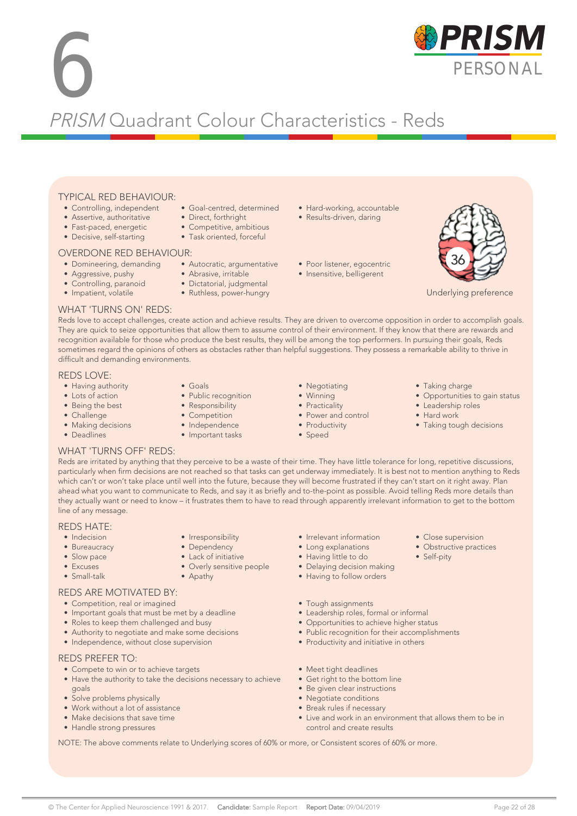### **6** PRISM Quadrant Colour Characteristics - Reds

#### TYPICAL RED BEHAVIOUR:

- Controlling, independent
- Assertive, authoritative
- Fast-paced, energetic
- Decisive, self-starting

#### OVERDONE RED BEHAVIOUR:

- Domineering, demanding Autocratic, argumentative
- Aggressive, pushy
- Controlling, paranoid
- Impatient, volatile
- Competitive, ambitious • Task oriented, forceful

• Goal-centred, determined • Direct, forthright

- Abrasive, irritable
- Dictatorial, judgmental
- Ruthless, power-hungry
- 
- Hard-working, accountable
- Results-driven, daring
- Poor listener, egocentric
- Insensitive, belligerent



Underlying preference

#### WHAT 'TURNS ON' REDS:

Reds love to accept challenges, create action and achieve results. They are driven to overcome opposition in order to accomplish goals. They are quick to seize opportunities that allow them to assume control of their environment. If they know that there are rewards and recognition available for those who produce the best results, they will be among the top performers. In pursuing their goals, Reds sometimes regard the opinions of others as obstacles rather than helpful suggestions. They possess a remarkable ability to thrive in difficult and demanding environments.

#### REDS LOVE:

- Having authority
- Lots of action
- Being the best
- Challenge
- Making decisions
- Deadlines
- 
- Public recognition
- Responsibility
- Competition
- 
- 
- Independence
- Important tasks

• Irresponsibility • Dependency • Lack of initiative • Overly sensitive people

• Apathy

- Winning
- Practicality
- Power and control

• Negotiating

- Productivity
- Speed
- Taking charge
- Opportunities to gain status
- Leadership roles
- Hard work
- Taking tough decisions

• Close supervision • Obstructive practices

• Self-pity

#### WHAT 'TURNS OFF' REDS:

Reds are irritated by anything that they perceive to be a waste of their time. They have little tolerance for long, repetitive discussions, particularly when firm decisions are not reached so that tasks can get underway immediately. It is best not to mention anything to Reds which can't or won't take place until well into the future, because they will become frustrated if they can't start on it right away. Plan ahead what you want to communicate to Reds, and say it as briefly and to-the-point as possible. Avoid telling Reds more details than they actually want or need to know – it frustrates them to have to read through apparently irrelevant information to get to the bottom line of any message.

#### REDS HATE:

- Indecision
- Bureaucracy
- Slow pace
- Excuses
- Small-talk

#### REDS ARE MOTIVATED BY:

- Competition, real or imagined
- Important goals that must be met by a deadline
- Roles to keep them challenged and busy
- Authority to negotiate and make some decisions
- Independence, without close supervision

#### REDS PREFER TO:

- Compete to win or to achieve targets
- Have the authority to take the decisions necessary to achieve goals
- Solve problems physically
- Work without a lot of assistance
- Make decisions that save time
- Handle strong pressures
- Irrelevant information
- Long explanations
- Having little to do
- Delaying decision making
- Having to follow orders
- Tough assignments
- Leadership roles, formal or informal
- Opportunities to achieve higher status
- Public recognition for their accomplishments
- Productivity and initiative in others
- Meet tight deadlines
- Get right to the bottom line
- Be given clear instructions
- Negotiate conditions
- Break rules if necessary • Live and work in an environment that allows them to be in
- control and create results

NOTE: The above comments relate to Underlying scores of 60% or more, or Consistent scores of 60% or more.





• Goals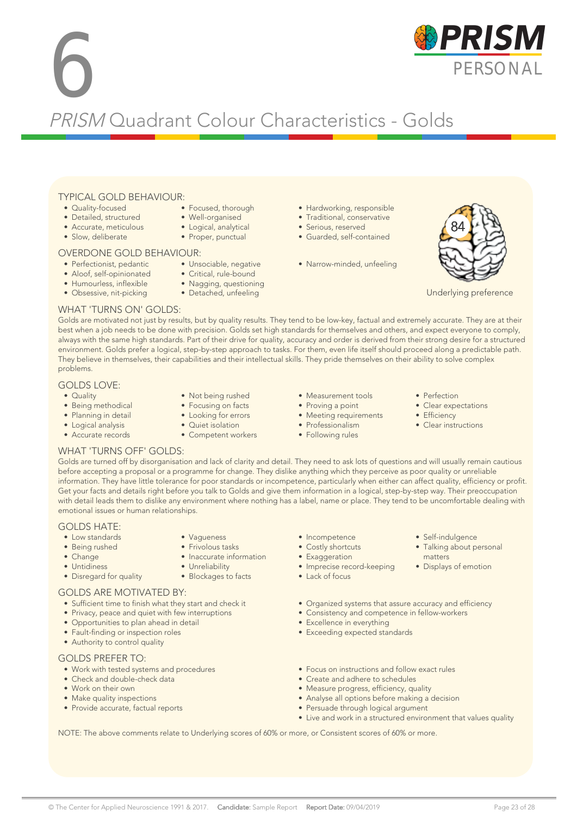# **6** PRISM Quadrant Colour Characteristics - Golds

#### TYPICAL GOLD BEHAVIOUR:

- Quality-focused
- Detailed, structured
- Accurate, meticulous
- Slow, deliberate

#### OVERDONE GOLD BEHAVIOUR:

- Perfectionist, pedantic
- Aloof, self-opinionated
- Humourless, inflexible
- Obsessive, nit-picking
- Focused, thorough
- Well-organised
- Logical, analytical • Proper, punctual

- Unsociable, negative
	- Critical, rule-bound
	- Nagging, questioning
	- Detached, unfeeling
- Hardworking, responsible • Traditional, conservative
- Serious, reserved
- Guarded, self-contained
- Narrow-minded, unfeeling



Underlying preference

#### WHAT 'TURNS ON' GOLDS:

Golds are motivated not just by results, but by quality results. They tend to be low-key, factual and extremely accurate. They are at their best when a job needs to be done with precision. Golds set high standards for themselves and others, and expect everyone to comply, always with the same high standards. Part of their drive for quality, accuracy and order is derived from their strong desire for a structured environment. Golds prefer a logical, step-by-step approach to tasks. For them, even life itself should proceed along a predictable path. They believe in themselves, their capabilities and their intellectual skills. They pride themselves on their ability to solve complex problems.

#### GOLDS LOVE:

- Quality
- Being methodical
- Planning in detail
- Logical analysis • Accurate records
- Not being rushed • Focusing on facts
- Looking for errors
- Quiet isolation

• Vagueness • Frivolous tasks • Inaccurate information

• Unreliability • Blockages to facts

- Competent workers
- Measurement tools
- Proving a point
- Meeting requirements
- Professionalism • Following rules
- Perfection
- Clear expectations
- Efficiency
- Clear instructions

• Self-indulgence • Talking about personal

matters • Displays of emotion

#### WHAT 'TURNS OFF' GOLDS:

Golds are turned off by disorganisation and lack of clarity and detail. They need to ask lots of questions and will usually remain cautious before accepting a proposal or a programme for change. They dislike anything which they perceive as poor quality or unreliable information. They have little tolerance for poor standards or incompetence, particularly when either can affect quality, efficiency or profit. Get your facts and details right before you talk to Golds and give them information in a logical, step-by-step way. Their preoccupation with detail leads them to dislike any environment where nothing has a label, name or place. They tend to be uncomfortable dealing with emotional issues or human relationships.

#### GOLDS HATE:

- Low standards
- Being rushed
- Change
- Untidiness
- Disregard for quality

#### GOLDS ARE MOTIVATED BY:

- Sufficient time to finish what they start and check it
- Privacy, peace and quiet with few interruptions
- Opportunities to plan ahead in detail
- Fault-finding or inspection roles
- Authority to control quality

#### GOLDS PREFER TO:

- Work with tested systems and procedures
- Check and double-check data
- Work on their own
- Make quality inspections
- Provide accurate, factual reports
- Incompetence
- Costly shortcuts
- Exaggeration
- Imprecise record-keeping
- Lack of focus
- Organized systems that assure accuracy and efficiency
- Consistency and competence in fellow-workers
- Excellence in everything
- Exceeding expected standards
- Focus on instructions and follow exact rules
- Create and adhere to schedules
- Measure progress, efficiency, quality
- Analyse all options before making a decision
- Persuade through logical argument
- Live and work in a structured environment that values quality

NOTE: The above comments relate to Underlying scores of 60% or more, or Consistent scores of 60% or more.

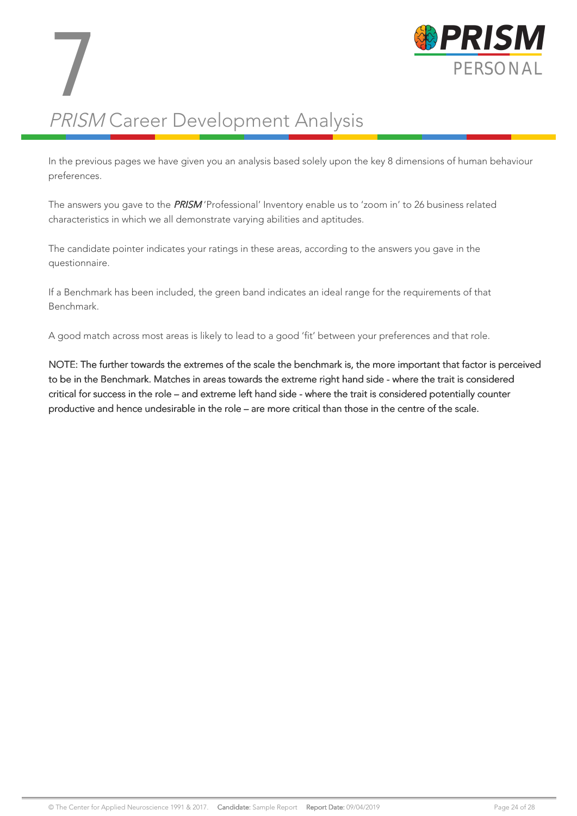

# PRISM Career Development Analysis 7

In the previous pages we have given you an analysis based solely upon the key 8 dimensions of human behaviour preferences.

The answers you gave to the PRISM 'Professional' Inventory enable us to 'zoom in' to 26 business related characteristics in which we all demonstrate varying abilities and aptitudes.

The candidate pointer indicates your ratings in these areas, according to the answers you gave in the questionnaire.

If a Benchmark has been included, the green band indicates an ideal range for the requirements of that Benchmark.

A good match across most areas is likely to lead to a good 'fit' between your preferences and that role.

NOTE: The further towards the extremes of the scale the benchmark is, the more important that factor is perceived to be in the Benchmark. Matches in areas towards the extreme right hand side - where the trait is considered critical for success in the role – and extreme left hand side - where the trait is considered potentially counter productive and hence undesirable in the role – are more critical than those in the centre of the scale.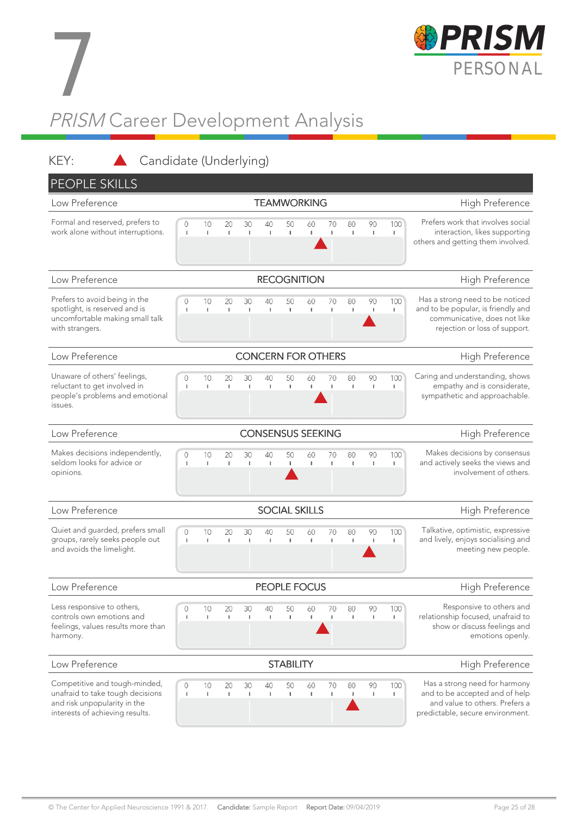

# PRISM Career Development Analysis 7

KEY: Candidate (Underlying) PEOPLE SKILLS Low Preference **TEAMWORKING TEAMWORKING** High Preference Formal and reserved, prefers to Prefers work that involves social  $10$ 30  $40$ 90 100  $\bigcap$  $20$ 50 60  $70$  $80$ work alone without interruptions. interaction, likes supporting T.  $\mathbf{I}$ f. ı. ×  $\mathbf{I}$ 'n. × others and getting them involved. Low Preference **Example 20 The RECOGNITION** RECOGNITION **High Preference** Prefers to avoid being in the 100 Has a strong need to be noticed  $\circ$  $10$ 20 30 40 50 60 70 80 90 and to be popular, is friendly and spotlight, is reserved and is  $\mathbf{I}$  $\mathbf{I}$ T.  $\mathbf{I}$  $\mathbf{I}$ ×  $\mathbf{I}$ ×. uncomfortable making small talk communicative, does not like with strangers. rejection or loss of support. Low Preference **CONCERN FOR OTHERS** High Preference Unaware of others' feelings, Caring and understanding, shows  $\overline{0}$  $10$ 20 30 40 50 60 70 80 90 100 reluctant to get involved in empathy and is considerate, ï Ï  $\mathbf{I}$ I. sympathetic and approachable. people's problems and emotional issues. Low Preference **CONSENSUS SEEKING** High Preference Makes decisions independently, Makes decisions by consensus  $\overline{0}$  $10$ 30 40 70 90 100  $20$ 50 60 80 seldom looks for advice or and actively seeks the views and  $\mathbf I$ ı I.  $\mathbf{I}$  $\mathbf{I}$  $\overline{1}$  $\mathbf{I}$  $\mathbf{I}$  $\overline{1}$ I)  $\mathbb I$ opinions. involvement of others. Low Preference **SOCIAL SKILLS SOCIAL SKILLS High Preference** Quiet and guarded, prefers small  $30^{\circ}$ 90  $100$ Talkative, optimistic, expressive  $\overline{O}$  $10$  $20$  $40$ 50  $60$  $70$  $80$ groups, rarely seeks people out and lively, enjoys socialising and × τ.  $\mathbf{I}$  $\,$  1  $\mathbf{I}$  $\mathbf{I}$ ×  $\mathbf{I}$  $\mathbf{I}$ Ĩ. L. and avoids the limelight. meeting new people. Low Preference **PEOPLE FOCUS High Preference High Preference** Less responsive to others, Responsive to others and  $\overline{O}$  $10$  $20$ 30  $40$ 50 60  $70$ 80 90 100 controls own emotions and J. i.  $\mathbf{I}$  $\overline{1}$  $\mathbf{I}$  $\mathbf{I}$  $\mathbf{I}$  $\mathbf{I}$ Ĩ. I. relationship focused, unafraid to feelings, values results more than show or discuss feelings and harmony. emotions openly. Low Preference **STABILITY** STABILITY High Preference Competitive and tough-minded, Has a strong need for harmony  $\overline{O}$  $10$ 30 40 70 90 100 20 50 60 8C unafraid to take tough decisions and to be accepted and of help ï  $\bar{1}$  $\mathbf{I}$  $\mathbf{I}$ and risk unpopularity in the and value to others. Prefers a interests of achieving results. predictable, secure environment.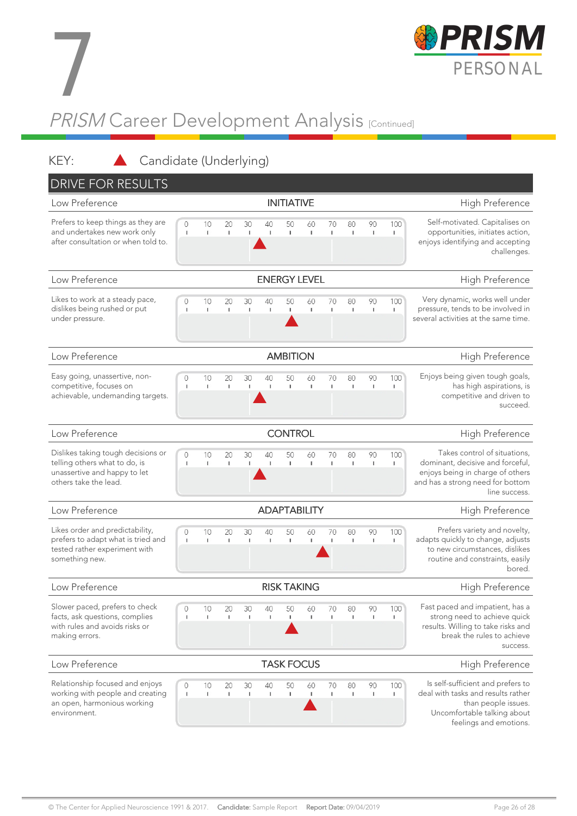

# PRISM Career Development Analysis <sub>[Continued]</sub> 7

#### KEY: Candidate (Underlying)

| <b>DRIVE FOR RESULTS</b>                                                                                                     |                     |                    |                    |          |                    |                     |                    |                    |                    |          |                 |                                                                                                                                                           |
|------------------------------------------------------------------------------------------------------------------------------|---------------------|--------------------|--------------------|----------|--------------------|---------------------|--------------------|--------------------|--------------------|----------|-----------------|-----------------------------------------------------------------------------------------------------------------------------------------------------------|
| Low Preference                                                                                                               |                     |                    |                    |          |                    | <b>INITIATIVE</b>   |                    |                    |                    |          |                 | High Preference                                                                                                                                           |
| Prefers to keep things as they are<br>and undertakes new work only<br>after consultation or when told to.                    | 0<br>$\mathbf{I}$   | 10<br>$\mathbb T$  | 20<br>I.           | 30<br>I. | 40<br>$\mathbf{I}$ | 50<br>I.            | 60<br>$\mathbb{I}$ | 70<br>I.           | 80<br>$\mathbf{I}$ | 90<br>T. | 100<br>T        | Self-motivated. Capitalises on<br>opportunities, initiates action,<br>enjoys identifying and accepting<br>challenges.                                     |
| Low Preference                                                                                                               | <b>ENERGY LEVEL</b> |                    |                    |          |                    |                     |                    |                    |                    |          | High Preference |                                                                                                                                                           |
| Likes to work at a steady pace,<br>dislikes being rushed or put<br>under pressure.                                           | 0<br>J.             | 10<br>$\mathbf{I}$ | 20<br>$\mathbb{I}$ | 30<br>J. | 40<br>1            | 50<br>$\mathbf{I}$  | 60<br>$\mathbf{I}$ | 70<br>I.           | 80<br>$\mathbf{I}$ | 90<br>T  | 100<br>ı        | Very dynamic, works well under<br>pressure, tends to be involved in<br>several activities at the same time.                                               |
| Low Preference                                                                                                               |                     |                    |                    |          |                    | <b>AMBITION</b>     |                    |                    |                    |          |                 | High Preference                                                                                                                                           |
| Easy going, unassertive, non-<br>competitive, focuses on<br>achievable, undemanding targets.                                 | 0<br>-1             | 10<br>$\mathbb T$  | 20<br>$\mathbf{I}$ | 30<br>J. | 40<br>$\mathbf{I}$ | 50<br>$\mathbf{I}$  | 60<br>$\Gamma$     | 70<br>I.           | 80<br>$\mathbf{I}$ | 90<br>T  | 100<br>I        | Enjoys being given tough goals,<br>has high aspirations, is<br>competitive and driven to<br>succeed.                                                      |
| Low Preference                                                                                                               |                     |                    |                    |          |                    | <b>CONTROL</b>      |                    |                    |                    |          |                 | High Preference                                                                                                                                           |
| Dislikes taking tough decisions or<br>telling others what to do, is<br>unassertive and happy to let<br>others take the lead. | 0<br>$\mathbf{I}$   | 10<br>$\mathbf{I}$ | 20<br>$\mathbb{I}$ | 30<br>f, | 40<br>$\mathbf{I}$ | 50<br>$\mathbf{I}$  | 60<br>$\mathbb{I}$ | 70<br>$\mathbf{I}$ | 80<br>$\mathbb I$  | 90<br>T  | 100<br>I.       | Takes control of situations,<br>dominant, decisive and forceful,<br>enjoys being in charge of others<br>and has a strong need for bottom<br>line success. |
| Low Preference                                                                                                               |                     |                    |                    |          |                    | <b>ADAPTABILITY</b> |                    |                    |                    |          |                 | High Preference                                                                                                                                           |
| Likes order and predictability,<br>prefers to adapt what is tried and<br>tested rather experiment with<br>something new.     | 0<br>-1             | 10<br>$\mathbb{I}$ | 20<br>I.           | 30<br>J. | 40<br>1            | 50<br>$\mathbf{I}$  | 60<br>$\mathbb T$  | 70<br>I.           | 80<br>$\mathbf{I}$ | 90<br>T  | 100<br>T        | Prefers variety and novelty,<br>adapts quickly to change, adjusts<br>to new circumstances, dislikes<br>routine and constraints, easily<br>bored.          |
| Low Preference                                                                                                               |                     |                    |                    |          |                    | <b>RISK TAKING</b>  |                    |                    |                    |          |                 | High Preference                                                                                                                                           |
| Slower paced, prefers to check<br>facts, ask questions, complies<br>with rules and avoids risks or<br>making errors.         | ٠                   | 10<br>L            | 20                 | 30       | 40<br>1            | 50                  | 60<br>I.           | 70                 | 80                 | 90       | 100<br>п        | Fast paced and impatient, has a<br>strong need to achieve quick<br>results. Willing to take risks and<br>break the rules to achieve<br>success.           |
| Low Preference                                                                                                               |                     |                    |                    |          |                    | <b>TASK FOCUS</b>   |                    |                    |                    |          |                 | High Preference                                                                                                                                           |
| Relationship focused and enjoys<br>working with people and creating<br>an open, harmonious working<br>environment.           | -1                  | 10<br>-            | 20<br>L.           | 30<br>J. | 40<br>1            | 50<br>-1            | 60<br>-            | 70                 | 80<br>$\mathbf{I}$ | 90<br>T  | 100<br>т        | Is self-sufficient and prefers to<br>deal with tasks and results rather<br>than people issues.<br>Uncomfortable talking about<br>feelings and emotions.   |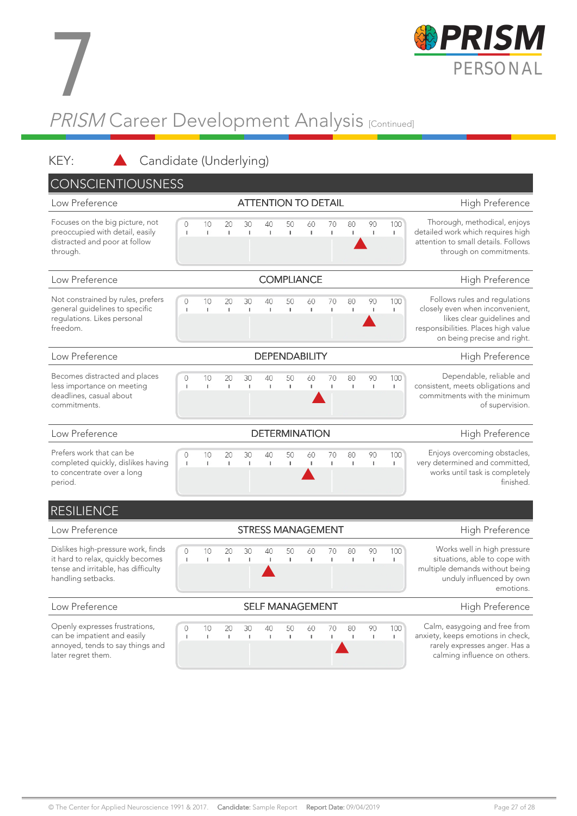

# PRISM Career Development Analysis <sub>[Continued]</sub> 7

#### KEY: Candidate (Underlying)

| <b>CONSCIENTIOUSNESS</b>                                                                                                             |                          |                    |                    |                     |                            |                    |                |                    |                    |          |                 |                                                                                                                                                                      |
|--------------------------------------------------------------------------------------------------------------------------------------|--------------------------|--------------------|--------------------|---------------------|----------------------------|--------------------|----------------|--------------------|--------------------|----------|-----------------|----------------------------------------------------------------------------------------------------------------------------------------------------------------------|
| Low Preference                                                                                                                       |                          |                    |                    |                     | <b>ATTENTION TO DETAIL</b> |                    |                |                    |                    |          |                 | High Preference                                                                                                                                                      |
| Focuses on the big picture, not<br>preoccupied with detail, easily<br>distracted and poor at follow<br>through.                      | 0<br>$\mathbf I$         | 10<br>T.           | 20<br>I.           | 30<br>I.            | 40<br>$\mathbf{I}$         | 50<br>$\mathbf{I}$ | 60<br>Đ        | 70<br>$\mathbf{I}$ | 80<br>$\mathbb I$  | 90<br>T. | 100<br>T.       | Thorough, methodical, enjoys<br>detailed work which requires high<br>attention to small details. Follows<br>through on commitments.                                  |
| Low Preference                                                                                                                       | <b>COMPLIANCE</b>        |                    |                    |                     |                            |                    |                |                    |                    |          | High Preference |                                                                                                                                                                      |
| Not constrained by rules, prefers<br>general guidelines to specific<br>regulations. Likes personal<br>freedom.                       | $\circ$<br>$\mathbf I$   | 10<br>$\Gamma$     | 20<br>$\mathbb{I}$ | 30<br>$\mathbb T$   | 40<br>$\mathbf{I}$         | 50<br>$\mathbb{I}$ | 60<br>$\Gamma$ | 70<br>$\mathbf{I}$ | 80<br>$\mathbf{I}$ | 90<br>T  | 100<br>T.       | Follows rules and regulations<br>closely even when inconvenient,<br>likes clear guidelines and<br>responsibilities. Places high value<br>on being precise and right. |
| Low Preference                                                                                                                       |                          |                    |                    |                     | <b>DEPENDABILITY</b>       |                    |                |                    |                    |          |                 | High Preference                                                                                                                                                      |
| Becomes distracted and places<br>less importance on meeting<br>deadlines, casual about<br>commitments.                               | 0<br>$\mathbf{I}$        | 10<br>$\mathbb{F}$ | 20<br>I.           | 30<br>I.            | 40<br>$\mathbf{I}$         | 50<br>$\mathbf{I}$ | 60<br>Г        | 70<br>I.           | 80<br>$\mathbf{I}$ | 90<br>T  | 100<br>T.       | Dependable, reliable and<br>consistent, meets obligations and<br>commitments with the minimum<br>of supervision.                                                     |
| Low Preference                                                                                                                       | <b>DETERMINATION</b>     |                    |                    |                     |                            |                    |                |                    |                    |          |                 | High Preference                                                                                                                                                      |
|                                                                                                                                      |                          |                    |                    |                     |                            |                    |                |                    |                    |          |                 |                                                                                                                                                                      |
| Prefers work that can be<br>completed quickly, dislikes having<br>to concentrate over a long<br>period.                              | $\Omega$<br>$\mathbf{I}$ | 10<br>$\mathbb{L}$ | 20<br>$\mathbb{L}$ | 30<br>$\mathbbm{1}$ | 40<br>$\mathbf{I}$         | 50<br>$\mathbf{I}$ | 60<br>T.       | 70<br>$\mathbf{I}$ | 80<br>$\mathbb I$  | 90<br>T. | 100<br>I.       | Enjoys overcoming obstacles,<br>very determined and committed,<br>works until task is completely<br>finished.                                                        |
| <b>RESILIENCE</b>                                                                                                                    |                          |                    |                    |                     |                            |                    |                |                    |                    |          |                 |                                                                                                                                                                      |
| Low Preference                                                                                                                       |                          |                    |                    |                     | <b>STRESS MANAGEMENT</b>   |                    |                |                    |                    |          |                 | High Preference                                                                                                                                                      |
| Dislikes high-pressure work, finds<br>it hard to relax, quickly becomes<br>tense and irritable, has difficulty<br>handling setbacks. | 0<br>$\mathbf{I}$        | 10<br>T.           | 20<br>I.           | 30<br>L.            | 40<br>$\mathbf{I}$         | 50<br>$\mathbf{I}$ | 60<br>T.       | 70<br>$\mathbf{I}$ | 80<br>$\mathbf{I}$ | 90<br>T  | 100<br>п        | Works well in high pressure<br>situations, able to cope with<br>multiple demands without being<br>unduly influenced by own<br>emotions.                              |
| Low Preference                                                                                                                       |                          |                    |                    |                     | <b>SELF MANAGEMENT</b>     |                    |                |                    |                    |          |                 | High Preference                                                                                                                                                      |